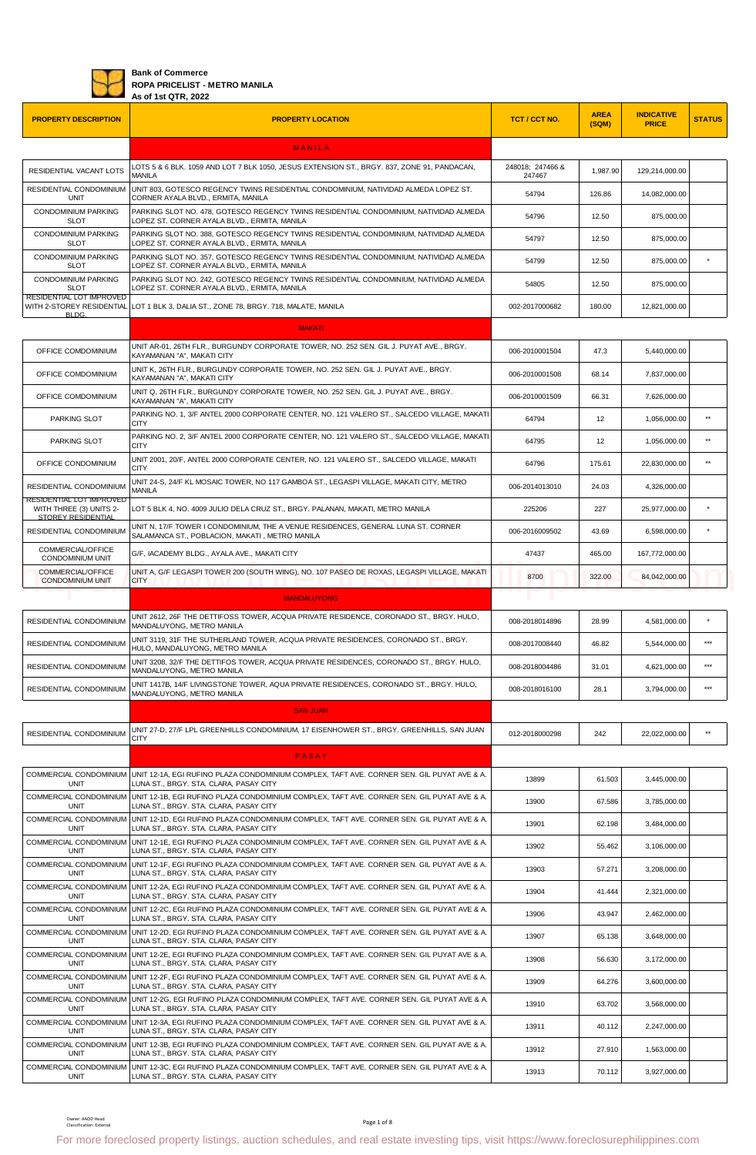

## **Bank of Commerce ROPA PRICELIST - METRO MANILA As of 1st QTR, 2022**

| <b>PROPERTY DESCRIPTION</b>                         | <b>PROPERTY LOCATION</b>                                                                                                                                    | TCT / CCT NO.              | <b>AREA</b><br>(SQM) | <b>INDICATIVE</b><br><b>PRICE</b> | <b>STATUS</b> |
|-----------------------------------------------------|-------------------------------------------------------------------------------------------------------------------------------------------------------------|----------------------------|----------------------|-----------------------------------|---------------|
|                                                     | <b>MANILA</b>                                                                                                                                               |                            |                      |                                   |               |
| RESIDENTIAL VACANT LOTS                             | LOTS 5 & 6 BLK. 1059 AND LOT 7 BLK 1050, JESUS EXTENSION ST., BRGY. 837, ZONE 91, PANDACAN,<br>MANILA                                                       | 248018; 247466 &<br>247467 | 1,987.90             | 129,214,000.00                    |               |
| RESIDENTIAL CONDOMINIUM<br><b>UNIT</b>              | UNIT 803, GOTESCO REGENCY TWINS RESIDENTIAL CONDOMINIUM, NATIVIDAD ALMEDA LOPEZ ST.<br>CORNER AYALA BLVD., ERMITA, MANILA                                   | 54794                      | 126.86               | 14,082,000.00                     |               |
| <b>CONDOMINIUM PARKING</b><br><b>SLOT</b>           | PARKING SLOT NO. 478, GOTESCO REGENCY TWINS RESIDENTIAL CONDOMINIUM, NATIVIDAD ALMEDA                                                                       | 54796                      | 12.50                | 875,000.00                        |               |
| <b>CONDOMINIUM PARKING</b>                          | LOPEZ ST. CORNER AYALA BLVD., ERMITA, MANILA<br>PARKING SLOT NO. 388, GOTESCO REGENCY TWINS RESIDENTIAL CONDOMINIUM, NATIVIDAD ALMEDA                       | 54797                      | 12.50                | 875,000.00                        |               |
| <b>SLOT</b><br><b>CONDOMINIUM PARKING</b>           | LOPEZ ST. CORNER AYALA BLVD., ERMITA, MANILA<br>PARKING SLOT NO. 357, GOTESCO REGENCY TWINS RESIDENTIAL CONDOMINIUM, NATIVIDAD ALMEDA                       | 54799                      | 12.50                | 875,000.00                        |               |
| <b>SLOT</b><br><b>CONDOMINIUM PARKING</b>           | LOPEZ ST. CORNER AYALA BLVD., ERMITA, MANILA<br>PARKING SLOT NO. 242, GOTESCO REGENCY TWINS RESIDENTIAL CONDOMINIUM, NATIVIDAD ALMEDA                       | 54805                      | 12.50                | 875,000.00                        |               |
| <b>SLOT</b><br>RESIDENTIAL LOT IMPROVED             | LOPEZ ST. CORNER AYALA BLVD., ERMITA, MANILA                                                                                                                |                            |                      |                                   |               |
| BLDG.                                               | WITH 2-STOREY RESIDENTIAL LOT 1 BLK 3, DALIA ST., ZONE 78, BRGY. 718, MALATE, MANILA                                                                        | 002-2017000682             | 180.00               | 12,821,000.00                     |               |
|                                                     | <b>MAKATI</b><br>UNIT AR-01, 26TH FLR., BURGUNDY CORPORATE TOWER, NO. 252 SEN. GIL J. PUYAT AVE., BRGY.                                                     |                            |                      |                                   |               |
| OFFICE COMDOMINIUM                                  | KAYAMANAN "A", MAKATI CITY<br>UNIT K, 26TH FLR., BURGUNDY CORPORATE TOWER, NO. 252 SEN. GIL J. PUYAT AVE., BRGY.                                            | 006-2010001504             | 47.3                 | 5,440,000.00                      |               |
| OFFICE COMDOMINIUM                                  | KAYAMANAN "A", MAKATI CITY                                                                                                                                  | 006-2010001508             | 68.14                | 7,837,000.00                      |               |
| OFFICE COMDOMINIUM                                  | UNIT Q, 26TH FLR., BURGUNDY CORPORATE TOWER, NO. 252 SEN. GIL J. PUYAT AVE., BRGY.<br>KAYAMANAN "A", MAKATI CITY                                            | 006-2010001509             | 66.31                | 7,626,000.00                      |               |
| PARKING SLOT                                        | PARKING NO. 1, 3/F ANTEL 2000 CORPORATE CENTER, NO. 121 VALERO ST., SALCEDO VILLAGE, MAKATI<br><b>CITY</b>                                                  | 64794                      | 12                   | 1,056,000.00                      | $**$          |
| PARKING SLOT                                        | PARKING NO. 2, 3/F ANTEL 2000 CORPORATE CENTER, NO. 121 VALERO ST., SALCEDO VILLAGE, MAKATI<br><b>CITY</b>                                                  | 64795                      | 12                   | 1,056,000.00                      | $**$          |
| OFFICE CONDOMINIUM                                  | UNIT 2001, 20/F, ANTEL 2000 CORPORATE CENTER, NO. 121 VALERO ST., SALCEDO VILLAGE, MAKATI<br><b>CITY</b>                                                    | 64796                      | 175.61               | 22,830,000.00                     | $**$          |
| RESIDENTIAL CONDOMINIUM                             | UNIT 24-S, 24/F KL MOSAIC TOWER, NO 117 GAMBOA ST., LEGASPI VILLAGE, MAKATI CITY, METRO<br>MANILA                                                           | 006-2014013010             | 24.03                | 4,326,000.00                      |               |
| RESIDENTIAL LOT IMPROVED<br>WITH THREE (3) UNITS 2- | LOT 5 BLK 4, NO. 4009 JULIO DELA CRUZ ST., BRGY. PALANAN, MAKATI, METRO MANILA                                                                              | 225206                     | 227                  | 25,977,000.00                     |               |
| STOREY RESIDENTIAL<br>RESIDENTIAL CONDOMINIUM       | UNIT N, 17/F TOWER I CONDOMINIUM, THE A VENUE RESIDENCES, GENERAL LUNA ST. CORNER<br>SALAMANCA ST., POBLACION, MAKATI, METRO MANILA                         | 006-2016009502             | 43.69                | 6,598,000.00                      |               |
| COMMERCIAL/OFFICE<br><b>CONDOMINIUM UNIT</b>        | G/F, IACADEMY BLDG., AYALA AVE., MAKATI CITY                                                                                                                | 47437                      | 465.00               | 167,772,000.00                    |               |
| COMMERCIAL/OFFICE<br><b>CONDOMINIUM UNIT</b>        | UNIT A, G/F LEGASPI TOWER 200 (SOUTH WING), NO. 107 PASEO DE ROXAS, LEGASPI VILLAGE, MAKATI<br><b>CITY</b>                                                  | 8700                       | 322.00               | 84,042,000.00                     |               |
|                                                     | <b>MANDALUYONG</b>                                                                                                                                          |                            |                      |                                   |               |
| RESIDENTIAL CONDOMINIUM                             | UNIT 2612, 26F THE DETTIFOSS TOWER, ACQUA PRIVATE RESIDENCE, CORONADO ST., BRGY. HULO,                                                                      | 008-2018014896             | 28.99                | 4,581,000.00                      |               |
| RESIDENTIAL CONDOMINIUM                             | MANDALUYONG, METRO MANILA<br>UNIT 3119, 31F THE SUTHERLAND TOWER, ACQUA PRIVATE RESIDENCES, CORONADO ST., BRGY.                                             | 008-2017008440             | 46.82                | 5,544,000.00                      | $***$         |
|                                                     | HULO, MANDALUYONG, METRO MANILA<br>RESIDENTIAL CONDOMINIUM UNIT 3208, 32/F THE DETTIFOS TOWER, ACQUA PRIVATE RESIDENCES, CORONADO ST., BRGY. HULO,          | 008-2018004486             | 31.01                | 4,621,000.00                      | $***$         |
|                                                     | MANDALUYONG, METRO MANILA<br>UNIT 1417B, 14/F LIVINGSTONE TOWER, AQUA PRIVATE RESIDENCES, CORONADO ST., BRGY. HULO,                                         |                            |                      |                                   | $***$         |
| RESIDENTIAL CONDOMINIUM                             | MANDALUYONG, METRO MANILA                                                                                                                                   | 008-2018016100             | 28.1                 | 3,794,000.00                      |               |
|                                                     | <b>SAN JUAN</b><br>UNIT 27-D, 27/F LPL GREENHILLS CONDOMINIUM, 17 EISENHOWER ST., BRGY. GREENHILLS, SAN JUAN                                                |                            |                      |                                   |               |
| RESIDENTIAL CONDOMINIUM                             | <b>CITY</b>                                                                                                                                                 | 012-2018000298             | 242                  | 22,022,000.00                     | $\star\star$  |
|                                                     | PASAY                                                                                                                                                       |                            |                      |                                   |               |
| <b>UNIT</b>                                         | COMMERCIAL CONDOMINIUM UNIT 12-1A, EGI RUFINO PLAZA CONDOMINIUM COMPLEX, TAFT AVE. CORNER SEN. GIL PUYAT AVE & A.<br>LUNA ST., BRGY. STA. CLARA, PASAY CITY | 13899                      | 61.503               | 3.445.000.00                      |               |
| COMMERCIAL CONDOMINIUM<br><b>UNIT</b>               | UNIT 12-1B, EGI RUFINO PLAZA CONDOMINIUM COMPLEX, TAFT AVE. CORNER SEN. GIL PUYAT AVE & A.<br>LUNA ST., BRGY. STA. CLARA, PASAY CITY                        | 13900                      | 67.586               | 3,785,000.00                      |               |
| COMMERCIAL CONDOMINIUM<br><b>UNIT</b>               | UNIT 12-1D. EGI RUFINO PLAZA CONDOMINIUM COMPLEX. TAFT AVE. CORNER SEN. GIL PUYAT AVE & A.<br>LUNA ST., BRGY. STA. CLARA, PASAY CITY                        | 13901                      | 62.198               | 3,484,000.00                      |               |
| COMMERCIAL CONDOMINIUM<br>UNIT                      | UNIT 12-1E, EGI RUFINO PLAZA CONDOMINIUM COMPLEX, TAFT AVE. CORNER SEN. GIL PUYAT AVE & A.<br>LUNA ST., BRGY. STA. CLARA, PASAY CITY                        | 13902                      | 55.462               | 3,106,000.00                      |               |
| COMMERCIAL CONDOMINIUM<br><b>UNIT</b>               | UNIT 12-1F, EGI RUFINO PLAZA CONDOMINIUM COMPLEX, TAFT AVE. CORNER SEN. GIL PUYAT AVE & A.<br>LUNA ST., BRGY. STA. CLARA, PASAY CITY                        | 13903                      | 57.271               | 3,208,000.00                      |               |
| COMMERCIAL CONDOMINIUM<br><b>UNIT</b>               | UNIT 12-2A, EGI RUFINO PLAZA CONDOMINIUM COMPLEX, TAFT AVE. CORNER SEN. GIL PUYAT AVE & A.<br>LUNA ST., BRGY. STA. CLARA, PASAY CITY                        | 13904                      | 41.444               | 2,321,000.00                      |               |
| COMMERCIAL CONDOMINIUM<br><b>UNIT</b>               | UNIT 12-2C, EGI RUFINO PLAZA CONDOMINIUM COMPLEX, TAFT AVE. CORNER SEN. GIL PUYAT AVE & A.<br>LUNA ST., BRGY. STA. CLARA, PASAY CITY                        | 13906                      | 43.947               | 2,462,000.00                      |               |
| COMMERCIAL CONDOMINIUM<br><b>UNIT</b>               | UNIT 12-2D, EGI RUFINO PLAZA CONDOMINIUM COMPLEX, TAFT AVE. CORNER SEN. GIL PUYAT AVE & A.<br>LUNA ST., BRGY. STA. CLARA, PASAY CITY                        | 13907                      | 65.138               | 3,648,000.00                      |               |
| <b>UNIT</b>                                         | COMMERCIAL CONDOMINIUM UNIT 12-2E, EGI RUFINO PLAZA CONDOMINIUM COMPLEX, TAFT AVE. CORNER SEN. GIL PUYAT AVE & A.<br>LUNA ST., BRGY. STA. CLARA, PASAY CITY | 13908                      | 56.630               | 3,172,000.00                      |               |
| COMMERCIAL CONDOMINIUM                              | UNIT 12-2F, EGI RUFINO PLAZA CONDOMINIUM COMPLEX, TAFT AVE. CORNER SEN. GIL PUYAT AVE & A.                                                                  | 13909                      | 64.276               | 3,600,000.00                      |               |
| UNIT                                                | LUNA ST., BRGY. STA. CLARA, PASAY CITY<br>COMMERCIAL CONDOMINIUM UNIT 12-2G, EGI RUFINO PLAZA CONDOMINIUM COMPLEX, TAFT AVE. CORNER SEN. GIL PUYAT AVE & A. | 13910                      | 63.702               | 3,568,000.00                      |               |
| <b>UNIT</b><br>COMMERCIAL CONDOMINIUM               | LUNA ST., BRGY. STA. CLARA, PASAY CITY<br>UNIT 12-3A, EGI RUFINO PLAZA CONDOMINIUM COMPLEX, TAFT AVE. CORNER SEN. GIL PUYAT AVE & A.                        | 13911                      | 40.112               | 2,247,000.00                      |               |
| <b>UNIT</b>                                         | LUNA ST., BRGY. STA. CLARA, PASAY CITY<br>COMMERCIAL CONDOMINIUM UNIT 12-3B, EGI RUFINO PLAZA CONDOMINIUM COMPLEX, TAFT AVE. CORNER SEN. GIL PUYAT AVE & A. |                            |                      |                                   |               |
|                                                     | LUNA ST., BRGY. STA. CLARA, PASAY CITY                                                                                                                      | 13912                      | 27.910               | 1,563,000.00                      |               |
| <b>UNIT</b><br>COMMERCIAL CONDOMINIUM               | UNIT 12-3C, EGI RUFINO PLAZA CONDOMINIUM COMPLEX, TAFT AVE. CORNER SEN. GIL PUYAT AVE & A.                                                                  | 13913                      | 70.112               | 3,927,000.00                      |               |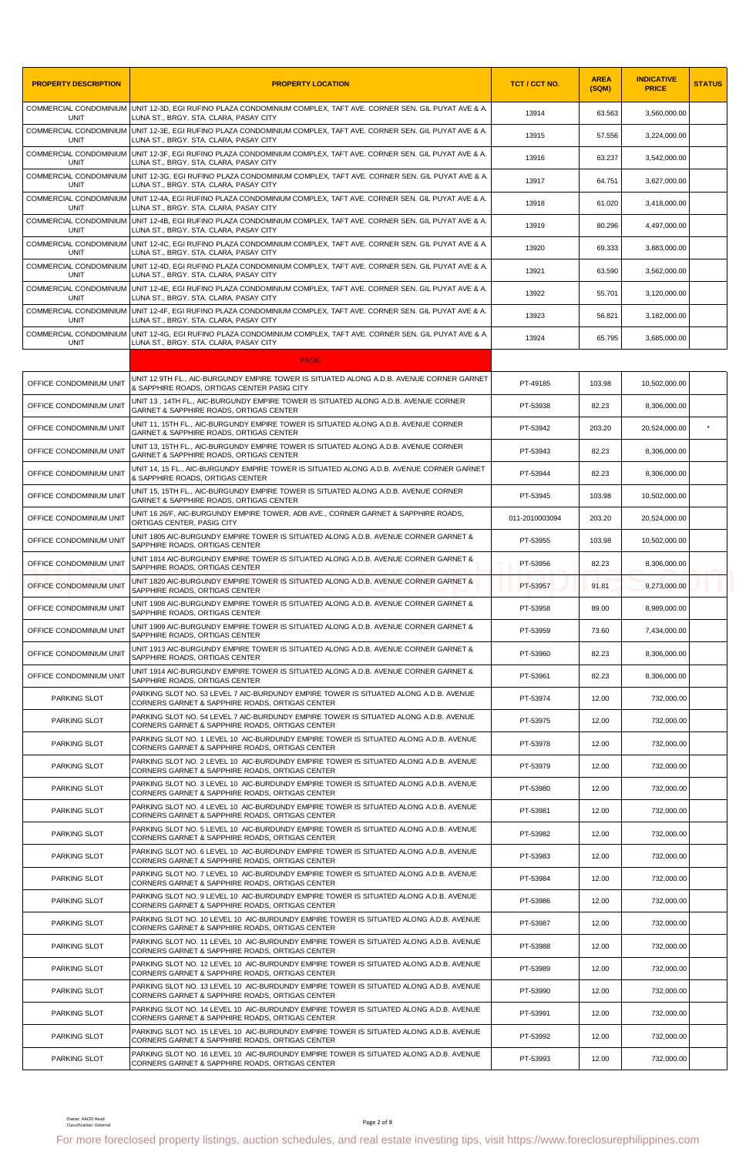| <b>PROPERTY DESCRIPTION</b>           | <b>PROPERTY LOCATION</b>                                                                                                                                    | TCT / CCT NO.  | <b>AREA</b><br>(SQM) | <b>INDICATIVE</b><br><b>PRICE</b> | <b>STATUS</b> |
|---------------------------------------|-------------------------------------------------------------------------------------------------------------------------------------------------------------|----------------|----------------------|-----------------------------------|---------------|
| <b>UNIT</b>                           | COMMERCIAL CONDOMINIUM UNIT 12-3D, EGI RUFINO PLAZA CONDOMINIUM COMPLEX, TAFT AVE. CORNER SEN. GIL PUYAT AVE & A.<br>LUNA ST., BRGY. STA. CLARA, PASAY CITY | 13914          | 63.563               | 3,560,000.00                      |               |
| <b>UNIT</b>                           | COMMERCIAL CONDOMINIUM UNIT 12-3E, EGI RUFINO PLAZA CONDOMINIUM COMPLEX, TAFT AVE. CORNER SEN. GIL PUYAT AVE & A.<br>LUNA ST., BRGY, STA, CLARA, PASAY CITY | 13915          | 57.556               | 3,224,000.00                      |               |
| UNIT                                  | COMMERCIAL CONDOMINIUM UNIT 12-3F, EGI RUFINO PLAZA CONDOMINIUM COMPLEX, TAFT AVE. CORNER SEN. GIL PUYAT AVE & A.<br>LUNA ST., BRGY. STA. CLARA, PASAY CITY | 13916          | 63.237               | 3,542,000.00                      |               |
| COMMERCIAL CONDOMINIUM<br><b>UNIT</b> | UNIT 12-3G, EGI RUFINO PLAZA CONDOMINIUM COMPLEX, TAFT AVE. CORNER SEN. GIL PUYAT AVE & A.<br>LUNA ST., BRGY. STA. CLARA, PASAY CITY                        | 13917          | 64.751               | 3,627,000.00                      |               |
| UNIT                                  | COMMERCIAL CONDOMINIUM UNIT 12-4A, EGI RUFINO PLAZA CONDOMINIUM COMPLEX, TAFT AVE. CORNER SEN. GIL PUYAT AVE & A.<br>LUNA ST., BRGY, STA, CLARA, PASAY CITY | 13918          | 61.020               | 3,418,000.00                      |               |
| COMMERCIAL CONDOMINIUM<br><b>UNIT</b> | UNIT 12-4B, EGI RUFINO PLAZA CONDOMINIUM COMPLEX, TAFT AVE. CORNER SEN. GIL PUYAT AVE & A.<br>LUNA ST., BRGY, STA, CLARA, PASAY CITY                        | 13919          | 80.296               | 4.497.000.00                      |               |
| UNIT                                  | COMMERCIAL CONDOMINIUM UNIT 12-4C, EGI RUFINO PLAZA CONDOMINIUM COMPLEX, TAFT AVE. CORNER SEN. GIL PUYAT AVE & A.<br>LUNA ST., BRGY. STA. CLARA, PASAY CITY | 13920          | 69.333               | 3,883,000.00                      |               |
| <b>UNIT</b>                           | COMMERCIAL CONDOMINIUM UNIT 12-4D, EGI RUFINO PLAZA CONDOMINIUM COMPLEX, TAFT AVE. CORNER SEN. GIL PUYAT AVE & A.<br>LUNA ST., BRGY. STA. CLARA, PASAY CITY | 13921          | 63.590               | 3,562,000.00                      |               |
| UNIT                                  | COMMERCIAL CONDOMINIUM UNIT 12-4E, EGI RUFINO PLAZA CONDOMINIUM COMPLEX, TAFT AVE. CORNER SEN. GIL PUYAT AVE & A.<br>LUNA ST., BRGY. STA. CLARA, PASAY CITY | 13922          | 55.701               | 3,120,000.00                      |               |
|                                       | COMMERCIAL CONDOMINIUM UNIT 12-4F, EGI RUFINO PLAZA CONDOMINIUM COMPLEX, TAFT AVE. CORNER SEN. GIL PUYAT AVE & A.                                           | 13923          | 56.821               | 3,182,000.00                      |               |
| UNIT                                  | LUNA ST., BRGY. STA. CLARA, PASAY CITY<br>COMMERCIAL CONDOMINIUM UNIT 12-4G, EGI RUFINO PLAZA CONDOMINIUM COMPLEX, TAFT AVE. CORNER SEN. GIL PUYAT AVE & A. | 13924          | 65.795               | 3,685,000.00                      |               |
| UNIT                                  | LUNA ST., BRGY. STA. CLARA, PASAY CITY<br><b>PASIG</b>                                                                                                      |                |                      |                                   |               |
| OFFICE CONDOMINIUM UNIT               | UNIT 12 9TH FL., AIC-BURGUNDY EMPIRE TOWER IS SITUATED ALONG A.D.B. AVENUE CORNER GARNET                                                                    | PT-49185       | 103.98               | 10,502,000.00                     |               |
| OFFICE CONDOMINIUM UNIT               | & SAPPHIRE ROADS, ORTIGAS CENTER PASIG CITY<br>UNIT 13,14TH FL., AIC-BURGUNDY EMPIRE TOWER IS SITUATED ALONG A.D.B. AVENUE CORNER                           | PT-53938       | 82.23                |                                   |               |
| OFFICE CONDOMINIUM UNIT               | GARNET & SAPPHIRE ROADS, ORTIGAS CENTER<br>UNIT 11, 15TH FL., AIC-BURGUNDY EMPIRE TOWER IS SITUATED ALONG A.D.B. AVENUE CORNER                              |                | 203.20               | 8,306,000.00                      |               |
|                                       | GARNET & SAPPHIRE ROADS, ORTIGAS CENTER<br>UNIT 13, 15TH FL., AIC-BURGUNDY EMPIRE TOWER IS SITUATED ALONG A.D.B. AVENUE CORNER                              | PT-53942       |                      | 20,524,000.00                     |               |
| OFFICE CONDOMINIUM UNIT               | GARNET & SAPPHIRE ROADS, ORTIGAS CENTER<br>UNIT 14, 15 FL., AIC-BURGUNDY EMPIRE TOWER IS SITUATED ALONG A.D.B. AVENUE CORNER GARNET                         | PT-53943       | 82.23                | 8,306,000.00                      |               |
| OFFICE CONDOMINIUM UNIT               | & SAPPHIRE ROADS, ORTIGAS CENTER<br>UNIT 15, 15TH FL., AIC-BURGUNDY EMPIRE TOWER IS SITUATED ALONG A.D.B. AVENUE CORNER                                     | PT-53944       | 82.23                | 8,306,000.00                      |               |
| OFFICE CONDOMINIUM UNIT               | GARNET & SAPPHIRE ROADS, ORTIGAS CENTER<br>UNIT 16 26/F, AIC-BURGUNDY EMPIRE TOWER, ADB AVE., CORNER GARNET & SAPPHIRE ROADS,                               | PT-53945       | 103.98               | 10,502,000.00                     |               |
| OFFICE CONDOMINIUM UNIT               | ORTIGAS CENTER, PASIG CITY                                                                                                                                  | 011-2010003094 | 203.20               | 20,524,000.00                     |               |
| OFFICE CONDOMINIUM UNIT               | UNIT 1805 AIC-BURGUNDY EMPIRE TOWER IS SITUATED ALONG A.D.B. AVENUE CORNER GARNET &<br>SAPPHIRE ROADS, ORTIGAS CENTER                                       | PT-53955       | 103.98               | 10,502,000.00                     |               |
| OFFICE CONDOMINIUM UNIT               | UNIT 1814 AIC-BURGUNDY EMPIRE TOWER IS SITUATED ALONG A.D.B. AVENUE CORNER GARNET &<br>SAPPHIRE ROADS, ORTIGAS CENTER                                       | PT-53956       | 82.23                | 8,306,000.00                      |               |
| OFFICE CONDOMINIUM UNIT               | UNIT 1820 AIC-BURGUNDY EMPIRE TOWER IS SITUATED ALONG A.D.B. AVENUE CORNER GARNET &<br>SAPPHIRE ROADS, ORTIGAS CENTER                                       | PT-53957       | 91.81                | 9,273,000.00                      |               |
| OFFICE CONDOMINIUM UNIT               | UNIT 1908 AIC-BURGUNDY EMPIRE TOWER IS SITUATED ALONG A.D.B. AVENUE CORNER GARNET &<br>SAPPHIRE ROADS, ORTIGAS CENTER                                       | PT-53958       | 89.00                | 8,989,000.00                      |               |
| OFFICE CONDOMINIUM UNIT               | UNIT 1909 AIC-BURGUNDY EMPIRE TOWER IS SITUATED ALONG A.D.B. AVENUE CORNER GARNET &<br>SAPPHIRE ROADS, ORTIGAS CENTER                                       | PT-53959       | 73.60                | 7,434,000.00                      |               |
| OFFICE CONDOMINIUM UNIT               | UNIT 1913 AIC-BURGUNDY EMPIRE TOWER IS SITUATED ALONG A.D.B. AVENUE CORNER GARNET &<br>SAPPHIRE ROADS, ORTIGAS CENTER                                       | PT-53960       | 82.23                | 8.306.000.00                      |               |
| OFFICE CONDOMINIUM UNIT               | UNIT 1914 AIC-BURGUNDY EMPIRE TOWER IS SITUATED ALONG A.D.B. AVENUE CORNER GARNET &<br>SAPPHIRE ROADS, ORTIGAS CENTER                                       | PT-53961       | 82.23                | 8,306,000.00                      |               |
| PARKING SLOT                          | PARKING SLOT NO. 53 LEVEL 7 AIC-BURDUNDY EMPIRE TOWER IS SITUATED ALONG A.D.B. AVENUE<br>CORNERS GARNET & SAPPHIRE ROADS, ORTIGAS CENTER                    | PT-53974       | 12.00                | 732,000.00                        |               |
| PARKING SLOT                          | PARKING SLOT NO. 54 LEVEL 7 AIC-BURDUNDY EMPIRE TOWER IS SITUATED ALONG A.D.B. AVENUE<br>CORNERS GARNET & SAPPHIRE ROADS, ORTIGAS CENTER                    | PT-53975       | 12.00                | 732,000.00                        |               |
| PARKING SLOT                          | PARKING SLOT NO. 1 LEVEL 10 AIC-BURDUNDY EMPIRE TOWER IS SITUATED ALONG A.D.B. AVENUE<br>CORNERS GARNET & SAPPHIRE ROADS, ORTIGAS CENTER                    | PT-53978       | 12.00                | 732,000.00                        |               |
| PARKING SLOT                          | PARKING SLOT NO. 2 LEVEL 10 AIC-BURDUNDY EMPIRE TOWER IS SITUATED ALONG A.D.B. AVENUE<br>CORNERS GARNET & SAPPHIRE ROADS, ORTIGAS CENTER                    | PT-53979       | 12.00                | 732,000.00                        |               |
| PARKING SLOT                          | PARKING SLOT NO. 3 LEVEL 10 AIC-BURDUNDY EMPIRE TOWER IS SITUATED ALONG A.D.B. AVENUE<br>CORNERS GARNET & SAPPHIRE ROADS, ORTIGAS CENTER                    | PT-53980       | 12.00                | 732,000.00                        |               |
| PARKING SLOT                          | PARKING SLOT NO. 4 LEVEL 10 AIC-BURDUNDY EMPIRE TOWER IS SITUATED ALONG A.D.B. AVENUE<br>CORNERS GARNET & SAPPHIRE ROADS, ORTIGAS CENTER                    | PT-53981       | 12.00                | 732,000.00                        |               |
| PARKING SLOT                          | PARKING SLOT NO. 5 LEVEL 10 AIC-BURDUNDY EMPIRE TOWER IS SITUATED ALONG A.D.B. AVENUE<br>CORNERS GARNET & SAPPHIRE ROADS, ORTIGAS CENTER                    | PT-53982       | 12.00                | 732,000.00                        |               |
| PARKING SLOT                          | PARKING SLOT NO. 6 LEVEL 10 AIC-BURDUNDY EMPIRE TOWER IS SITUATED ALONG A.D.B. AVENUE<br>CORNERS GARNET & SAPPHIRE ROADS, ORTIGAS CENTER                    | PT-53983       | 12.00                | 732,000.00                        |               |
| PARKING SLOT                          | PARKING SLOT NO. 7 LEVEL 10 AIC-BURDUNDY EMPIRE TOWER IS SITUATED ALONG A.D.B. AVENUE<br>CORNERS GARNET & SAPPHIRE ROADS, ORTIGAS CENTER                    | PT-53984       | 12.00                | 732,000.00                        |               |
| PARKING SLOT                          | PARKING SLOT NO. 9 LEVEL 10 AIC-BURDUNDY EMPIRE TOWER IS SITUATED ALONG A.D.B. AVENUE                                                                       | PT-53986       | 12.00                | 732,000.00                        |               |
| PARKING SLOT                          | CORNERS GARNET & SAPPHIRE ROADS, ORTIGAS CENTER<br>PARKING SLOT NO. 10 LEVEL 10 AIC-BURDUNDY EMPIRE TOWER IS SITUATED ALONG A.D.B. AVENUE                   | PT-53987       | 12.00                | 732,000.00                        |               |
| PARKING SLOT                          | CORNERS GARNET & SAPPHIRE ROADS, ORTIGAS CENTER<br>PARKING SLOT NO. 11 LEVEL 10 AIC-BURDUNDY EMPIRE TOWER IS SITUATED ALONG A.D.B. AVENUE                   | PT-53988       | 12.00                | 732,000.00                        |               |
| PARKING SLOT                          | CORNERS GARNET & SAPPHIRE ROADS, ORTIGAS CENTER<br>PARKING SLOT NO. 12 LEVEL 10 AIC-BURDUNDY EMPIRE TOWER IS SITUATED ALONG A.D.B. AVENUE                   | PT-53989       | 12.00                | 732,000.00                        |               |
| PARKING SLOT                          | CORNERS GARNET & SAPPHIRE ROADS, ORTIGAS CENTER<br>PARKING SLOT NO. 13 LEVEL 10 AIC-BURDUNDY EMPIRE TOWER IS SITUATED ALONG A.D.B. AVENUE                   | PT-53990       | 12.00                | 732,000.00                        |               |
| PARKING SLOT                          | CORNERS GARNET & SAPPHIRE ROADS, ORTIGAS CENTER<br>PARKING SLOT NO. 14 LEVEL 10 AIC-BURDUNDY EMPIRE TOWER IS SITUATED ALONG A.D.B. AVENUE                   | PT-53991       | 12.00                | 732,000.00                        |               |
|                                       | CORNERS GARNET & SAPPHIRE ROADS, ORTIGAS CENTER<br>PARKING SLOT NO. 15 LEVEL 10 AIC-BURDUNDY EMPIRE TOWER IS SITUATED ALONG A.D.B. AVENUE                   |                |                      |                                   |               |
|                                       |                                                                                                                                                             | PT-53992       | 12.00                | 732,000.00                        |               |
| PARKING SLOT<br>PARKING SLOT          | CORNERS GARNET & SAPPHIRE ROADS, ORTIGAS CENTER<br>PARKING SLOT NO. 16 LEVEL 10 AIC-BURDUNDY EMPIRE TOWER IS SITUATED ALONG A.D.B. AVENUE                   | PT-53993       | 12.00                | 732,000.00                        |               |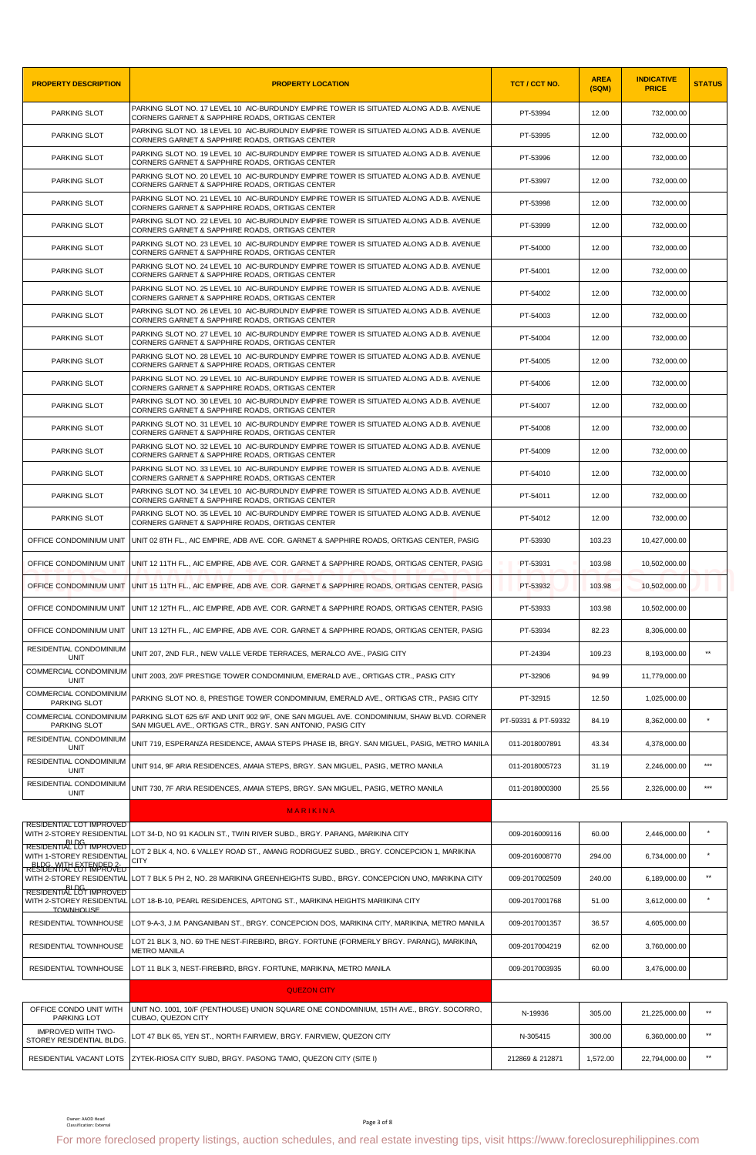| <b>PROPERTY DESCRIPTION</b>                                    | <b>PROPERTY LOCATION</b>                                                                                                                                  | TCT / CCT NO.       | <b>AREA</b><br>(SQM) | <b>INDICATIVE</b><br><b>PRICE</b> | <b>STATUS</b>     |
|----------------------------------------------------------------|-----------------------------------------------------------------------------------------------------------------------------------------------------------|---------------------|----------------------|-----------------------------------|-------------------|
| PARKING SLOT                                                   | PARKING SLOT NO. 17 LEVEL 10 AIC-BURDUNDY EMPIRE TOWER IS SITUATED ALONG A.D.B. AVENUE<br>CORNERS GARNET & SAPPHIRE ROADS, ORTIGAS CENTER                 | PT-53994            | 12.00                | 732,000.00                        |                   |
| PARKING SLOT                                                   | PARKING SLOT NO. 18 LEVEL 10 AIC-BURDUNDY EMPIRE TOWER IS SITUATED ALONG A.D.B. AVENUE<br>CORNERS GARNET & SAPPHIRE ROADS, ORTIGAS CENTER                 | PT-53995            | 12.00                | 732,000.00                        |                   |
| PARKING SLOT                                                   | PARKING SLOT NO. 19 LEVEL 10 AIC-BURDUNDY EMPIRE TOWER IS SITUATED ALONG A.D.B. AVENUE<br>CORNERS GARNET & SAPPHIRE ROADS, ORTIGAS CENTER                 | PT-53996            | 12.00                | 732,000.00                        |                   |
| PARKING SLOT                                                   | PARKING SLOT NO. 20 LEVEL 10 AIC-BURDUNDY EMPIRE TOWER IS SITUATED ALONG A.D.B. AVENUE<br>CORNERS GARNET & SAPPHIRE ROADS, ORTIGAS CENTER                 | PT-53997            | 12.00                | 732,000.00                        |                   |
| PARKING SLOT                                                   | PARKING SLOT NO. 21 LEVEL 10 AIC-BURDUNDY EMPIRE TOWER IS SITUATED ALONG A.D.B. AVENUE<br>CORNERS GARNET & SAPPHIRE ROADS, ORTIGAS CENTER                 | PT-53998            | 12.00                | 732,000.00                        |                   |
| PARKING SLOT                                                   | PARKING SLOT NO. 22 LEVEL 10 AIC-BURDUNDY EMPIRE TOWER IS SITUATED ALONG A.D.B. AVENUE<br>CORNERS GARNET & SAPPHIRE ROADS, ORTIGAS CENTER                 | PT-53999            | 12.00                | 732,000.00                        |                   |
| PARKING SLOT                                                   | PARKING SLOT NO. 23 LEVEL 10 AIC-BURDUNDY EMPIRE TOWER IS SITUATED ALONG A.D.B. AVENUE<br>CORNERS GARNET & SAPPHIRE ROADS, ORTIGAS CENTER                 | PT-54000            | 12.00                | 732,000.00                        |                   |
| PARKING SLOT                                                   | PARKING SLOT NO. 24 LEVEL 10 AIC-BURDUNDY EMPIRE TOWER IS SITUATED ALONG A.D.B. AVENUE<br>CORNERS GARNET & SAPPHIRE ROADS, ORTIGAS CENTER                 | PT-54001            | 12.00                | 732,000.00                        |                   |
| PARKING SLOT                                                   | PARKING SLOT NO. 25 LEVEL 10 AIC-BURDUNDY EMPIRE TOWER IS SITUATED ALONG A.D.B. AVENUE<br>CORNERS GARNET & SAPPHIRE ROADS, ORTIGAS CENTER                 | PT-54002            | 12.00                | 732,000.00                        |                   |
| PARKING SLOT                                                   | PARKING SLOT NO. 26 LEVEL 10 AIC-BURDUNDY EMPIRE TOWER IS SITUATED ALONG A.D.B. AVENUE<br>CORNERS GARNET & SAPPHIRE ROADS, ORTIGAS CENTER                 | PT-54003            | 12.00                | 732,000.00                        |                   |
| PARKING SLOT                                                   | PARKING SLOT NO. 27 LEVEL 10 AIC-BURDUNDY EMPIRE TOWER IS SITUATED ALONG A.D.B. AVENUE<br>CORNERS GARNET & SAPPHIRE ROADS, ORTIGAS CENTER                 | PT-54004            | 12.00                | 732,000.00                        |                   |
| PARKING SLOT                                                   | PARKING SLOT NO. 28 LEVEL 10 AIC-BURDUNDY EMPIRE TOWER IS SITUATED ALONG A.D.B. AVENUE<br>CORNERS GARNET & SAPPHIRE ROADS, ORTIGAS CENTER                 | PT-54005            | 12.00                | 732,000.00                        |                   |
| PARKING SLOT                                                   | PARKING SLOT NO. 29 LEVEL 10 AIC-BURDUNDY EMPIRE TOWER IS SITUATED ALONG A.D.B. AVENUE<br>CORNERS GARNET & SAPPHIRE ROADS, ORTIGAS CENTER                 | PT-54006            | 12.00                | 732,000.00                        |                   |
| PARKING SLOT                                                   | PARKING SLOT NO. 30 LEVEL 10 AIC-BURDUNDY EMPIRE TOWER IS SITUATED ALONG A.D.B. AVENUE<br>CORNERS GARNET & SAPPHIRE ROADS, ORTIGAS CENTER                 | PT-54007            | 12.00                | 732,000.00                        |                   |
| PARKING SLOT                                                   | PARKING SLOT NO. 31 LEVEL 10 AIC-BURDUNDY EMPIRE TOWER IS SITUATED ALONG A.D.B. AVENUE<br>CORNERS GARNET & SAPPHIRE ROADS, ORTIGAS CENTER                 | PT-54008            | 12.00                | 732,000.00                        |                   |
| PARKING SLOT                                                   | PARKING SLOT NO. 32 LEVEL 10 AIC-BURDUNDY EMPIRE TOWER IS SITUATED ALONG A.D.B. AVENUE<br>CORNERS GARNET & SAPPHIRE ROADS, ORTIGAS CENTER                 | PT-54009            | 12.00                | 732,000.00                        |                   |
| PARKING SLOT                                                   | PARKING SLOT NO. 33 LEVEL 10 AIC-BURDUNDY EMPIRE TOWER IS SITUATED ALONG A.D.B. AVENUE<br>CORNERS GARNET & SAPPHIRE ROADS, ORTIGAS CENTER                 | PT-54010            | 12.00                | 732,000.00                        |                   |
| PARKING SLOT                                                   | PARKING SLOT NO. 34 LEVEL 10 AIC-BURDUNDY EMPIRE TOWER IS SITUATED ALONG A.D.B. AVENUE<br>CORNERS GARNET & SAPPHIRE ROADS, ORTIGAS CENTER                 | PT-54011            | 12.00                | 732,000.00                        |                   |
| PARKING SLOT                                                   | PARKING SLOT NO. 35 LEVEL 10 AIC-BURDUNDY EMPIRE TOWER IS SITUATED ALONG A.D.B. AVENUE<br>CORNERS GARNET & SAPPHIRE ROADS, ORTIGAS CENTER                 | PT-54012            | 12.00                | 732,000.00                        |                   |
| OFFICE CONDOMINIUM UNIT                                        | UNIT 02 8TH FL., AIC EMPIRE, ADB AVE. COR. GARNET & SAPPHIRE ROADS, ORTIGAS CENTER, PASIG                                                                 | PT-53930            | 103.23               | 10,427,000.00                     |                   |
| OFFICE CONDOMINIUM UNIT                                        | UNIT 12 11TH FL., AIC EMPIRE, ADB AVE. COR. GARNET & SAPPHIRE ROADS, ORTIGAS CENTER, PASIG                                                                | PT-53931            | 103.98               | 10,502,000.00                     |                   |
| OFFICE CONDOMINIUM UNIT                                        | UNIT 15 11TH FL., AIC EMPIRE, ADB AVE. COR. GARNET & SAPPHIRE ROADS, ORTIGAS CENTER, PASIG                                                                | PT-53932            | 103.98               | 10,502,000.00                     |                   |
|                                                                | OFFICE CONDOMINIUM UNIT UNIT 12 12TH FL., AIC EMPIRE, ADB AVE, COR, GARNET & SAPPHIRE ROADS, ORTIGAS CENTER, PASIG                                        | PT-53933            | 103.98               | 10,502,000.00                     |                   |
| OFFICE CONDOMINIUM UNIT                                        | UNIT 13 12TH FL., AIC EMPIRE, ADB AVE. COR. GARNET & SAPPHIRE ROADS, ORTIGAS CENTER, PASIG                                                                | PT-53934            | 82.23                | 8,306,000.00                      |                   |
| RESIDENTIAL CONDOMINIUM<br><b>UNIT</b>                         | UNIT 207, 2ND FLR., NEW VALLE VERDE TERRACES, MERALCO AVE., PASIG CITY                                                                                    | PT-24394            | 109.23               | 8.193.000.00                      | $\star\star$      |
| COMMERCIAL CONDOMINIUM<br><b>UNIT</b>                          | UNIT 2003, 20/F PRESTIGE TOWER CONDOMINIUM, EMERALD AVE., ORTIGAS CTR., PASIG CITY                                                                        | PT-32906            | 94.99                | 11,779,000.00                     |                   |
| COMMERCIAL CONDOMINIUM<br>PARKING SLOT                         | PARKING SLOT NO. 8, PRESTIGE TOWER CONDOMINIUM, EMERALD AVE., ORTIGAS CTR., PASIG CITY                                                                    | PT-32915            | 12.50                | 1,025,000.00                      |                   |
| COMMERCIAL CONDOMINIUM<br><b>PARKING SLOT</b>                  | PARKING SLOT 625 6/F AND UNIT 902 9/F, ONE SAN MIGUEL AVE. CONDOMINIUM, SHAW BLVD. CORNER<br>SAN MIGUEL AVE., ORTIGAS CTR., BRGY. SAN ANTONIO, PASIG CITY | PT-59331 & PT-59332 | 84.19                | 8,362,000.00                      |                   |
| RESIDENTIAL CONDOMINIUM<br><b>UNIT</b>                         | UNIT 719, ESPERANZA RESIDENCE, AMAIA STEPS PHASE IB, BRGY. SAN MIGUEL, PASIG, METRO MANILA                                                                | 011-2018007891      | 43.34                | 4,378,000.00                      |                   |
| RESIDENTIAL CONDOMINIUM<br><b>UNIT</b>                         | UNIT 914, 9F ARIA RESIDENCES, AMAIA STEPS, BRGY. SAN MIGUEL, PASIG, METRO MANILA                                                                          | 011-2018005723      | 31.19                | 2,246,000.00                      | $***$             |
| RESIDENTIAL CONDOMINIUM<br><b>UNIT</b>                         | UNIT 730, 7F ARIA RESIDENCES, AMAIA STEPS, BRGY. SAN MIGUEL, PASIG, METRO MANILA                                                                          | 011-2018000300      | 25.56                | 2,326,000.00                      | $\star\star\star$ |
|                                                                | MARIKINA                                                                                                                                                  |                     |                      |                                   |                   |
| RESIDENTIAL LOT IMPROVED                                       | WITH 2-STOREY RESIDENTIAL LOT 34-D, NO 91 KAOLIN ST., TWIN RIVER SUBD., BRGY. PARANG, MARIKINA CITY                                                       | 009-2016009116      | 60.00                | 2,446,000.00                      |                   |
| BL DG<br>RESIDENTIAL LOT IMPROVED<br>WITH 1-STOREY RESIDENTIAL | LOT 2 BLK 4, NO. 6 VALLEY ROAD ST., AMANG RODRIGUEZ SUBD., BRGY. CONCEPCION 1, MARIKINA.<br><b>CITY</b>                                                   | 009-2016008770      | 294.00               | 6,734,000.00                      | $\star$           |
| <b>BLDG WITH EXTENDED 2-</b><br>RESIDENTIAL LOT IMPROVED       | WITH 2-STOREY RESIDENTIAL LOT 7 BLK 5 PH 2, NO. 28 MARIKINA GREENHEIGHTS SUBD., BRGY. CONCEPCION UNO, MARIKINA CITY                                       | 009-2017002509      | 240.00               | 6,189,000.00                      | $\star\star$      |
| BI DG<br>RESIDENTIAL LOT IMPROVED                              | WITH 2-STOREY RESIDENTIAL LOT 18-B-10, PEARL RESIDENCES, APITONG ST., MARIKINA HEIGHTS MARIIKINA CITY                                                     | 009-2017001768      | 51.00                | 3,612,000.00                      |                   |
| <b>TOWNHOLISE</b><br>RESIDENTIAL TOWNHOUSE                     | LOT 9-A-3, J.M. PANGANIBAN ST., BRGY. CONCEPCION DOS, MARIKINA CITY, MARIKINA, METRO MANILA                                                               | 009-2017001357      | 36.57                | 4,605,000.00                      |                   |
| RESIDENTIAL TOWNHOUSE                                          | LOT 21 BLK 3, NO. 69 THE NEST-FIREBIRD, BRGY. FORTUNE (FORMERLY BRGY. PARANG), MARIKINA,<br><b>METRO MANILA</b>                                           | 009-2017004219      | 62.00                | 3,760,000.00                      |                   |
| RESIDENTIAL TOWNHOUSE                                          | LOT 11 BLK 3, NEST-FIREBIRD, BRGY. FORTUNE, MARIKINA, METRO MANILA                                                                                        | 009-2017003935      | 60.00                | 3,476,000.00                      |                   |
|                                                                | <b>QUEZON CITY</b>                                                                                                                                        |                     |                      |                                   |                   |
| OFFICE CONDO UNIT WITH<br>PARKING LOT                          | UNIT NO. 1001, 10/F (PENTHOUSE) UNION SQUARE ONE CONDOMINIUM, 15TH AVE., BRGY. SOCORRO,<br>CUBAO, QUEZON CITY                                             | N-19936             | 305.00               | 21,225,000.00                     | $**$              |
| <b>IMPROVED WITH TWO-</b><br>STOREY RESIDENTIAL BLDG           | LOT 47 BLK 65. YEN ST., NORTH FAIRVIEW, BRGY, FAIRVIEW, QUEZON CITY                                                                                       | N-305415            | 300.00               | 6,360,000.00                      | $**$              |
| RESIDENTIAL VACANT LOTS                                        | ZYTEK-RIOSA CITY SUBD, BRGY. PASONG TAMO, QUEZON CITY (SITE I)                                                                                            | 212869 & 212871     | 1,572.00             | 22,794,000.00                     | $**$              |
|                                                                |                                                                                                                                                           |                     |                      |                                   |                   |
| Owner: AAOD Head<br>Classification: External                   | Page 3 of 8<br>For more foreclosed property listings, auction schedules, and real estate investing tips, visit https://www.foreclosurephilippines.com     |                     |                      |                                   |                   |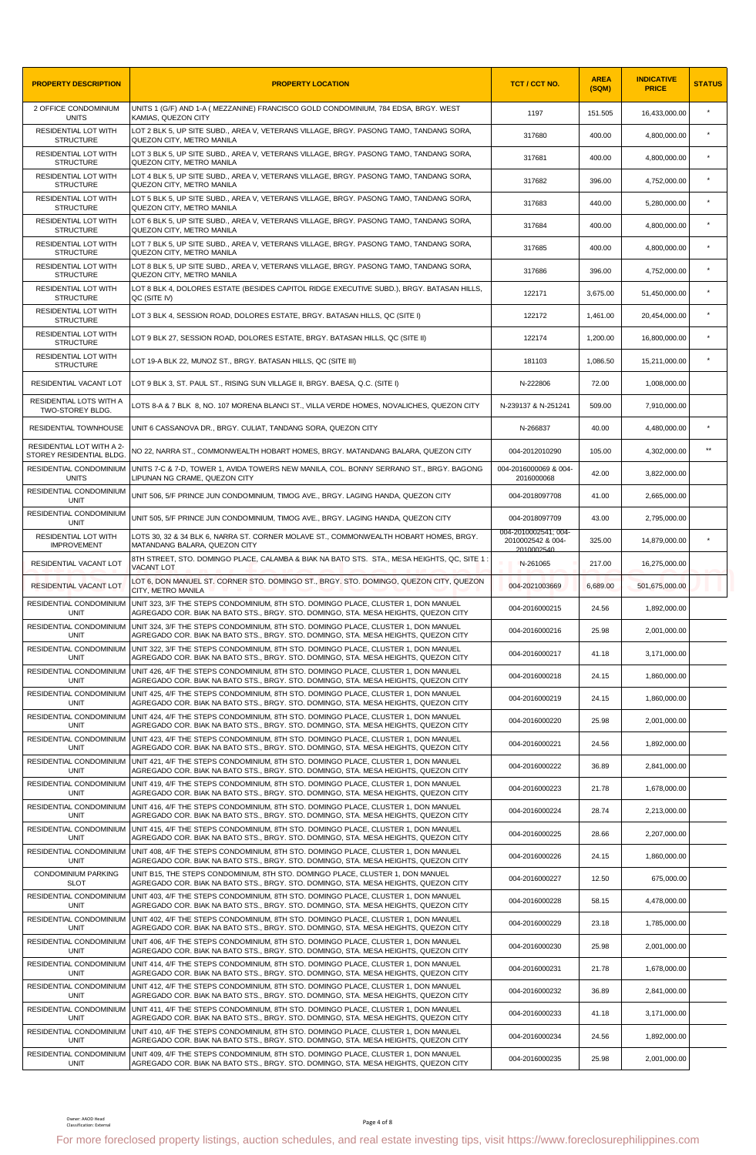| <b>PROPERTY DESCRIPTION</b>                         | <b>PROPERTY LOCATION</b>                                                                                                                                                                          | TCT / CCT NO.                           | <b>AREA</b><br>(SQM) | <b>INDICATIVE</b><br><b>PRICE</b> | <b>STATUS</b> |
|-----------------------------------------------------|---------------------------------------------------------------------------------------------------------------------------------------------------------------------------------------------------|-----------------------------------------|----------------------|-----------------------------------|---------------|
| 2 OFFICE CONDOMINIUM<br><b>UNITS</b>                | UNITS 1 (G/F) AND 1-A ( MEZZANINE) FRANCISCO GOLD CONDOMINIUM, 784 EDSA, BRGY. WEST<br>KAMIAS, QUEZON CITY                                                                                        | 1197                                    | 151.505              | 16,433,000.00                     | $\star$       |
| RESIDENTIAL LOT WITH<br><b>STRUCTURE</b>            | LOT 2 BLK 5, UP SITE SUBD., AREA V, VETERANS VILLAGE, BRGY. PASONG TAMO, TANDANG SORA,<br>QUEZON CITY, METRO MANILA                                                                               | 317680                                  | 400.00               | 4,800,000.00                      | $\star$       |
| RESIDENTIAL LOT WITH<br><b>STRUCTURE</b>            | LOT 3 BLK 5, UP SITE SUBD., AREA V, VETERANS VILLAGE, BRGY. PASONG TAMO, TANDANG SORA,<br>QUEZON CITY, METRO MANILA                                                                               | 317681                                  | 400.00               | 4,800,000.00                      | $\star$       |
| RESIDENTIAL LOT WITH<br><b>STRUCTURE</b>            | LOT 4 BLK 5, UP SITE SUBD., AREA V, VETERANS VILLAGE, BRGY. PASONG TAMO, TANDANG SORA,<br>QUEZON CITY, METRO MANILA                                                                               | 317682                                  | 396.00               | 4,752,000.00                      | $\star$       |
| RESIDENTIAL LOT WITH<br><b>STRUCTURE</b>            | LOT 5 BLK 5, UP SITE SUBD., AREA V, VETERANS VILLAGE, BRGY. PASONG TAMO, TANDANG SORA,<br>QUEZON CITY, METRO MANILA                                                                               | 317683                                  | 440.00               | 5,280,000.00                      | $\star$       |
| <b>RESIDENTIAL LOT WITH</b><br><b>STRUCTURE</b>     | LOT 6 BLK 5, UP SITE SUBD., AREA V, VETERANS VILLAGE, BRGY. PASONG TAMO, TANDANG SORA,<br>QUEZON CITY, METRO MANILA                                                                               | 317684                                  | 400.00               | 4,800,000.00                      |               |
| RESIDENTIAL LOT WITH<br><b>STRUCTURE</b>            | LOT 7 BLK 5, UP SITE SUBD., AREA V, VETERANS VILLAGE, BRGY. PASONG TAMO, TANDANG SORA,<br>QUEZON CITY, METRO MANILA                                                                               | 317685                                  | 400.00               | 4,800,000.00                      | $\star$       |
| RESIDENTIAL LOT WITH<br><b>STRUCTURE</b>            | LOT 8 BLK 5, UP SITE SUBD., AREA V, VETERANS VILLAGE, BRGY. PASONG TAMO, TANDANG SORA,<br>QUEZON CITY, METRO MANILA                                                                               | 317686                                  | 396.00               | 4,752,000.00                      | $\star$       |
| RESIDENTIAL LOT WITH<br><b>STRUCTURE</b>            | LOT 8 BLK 4, DOLORES ESTATE (BESIDES CAPITOL RIDGE EXECUTIVE SUBD.), BRGY. BATASAN HILLS,<br>QC (SITE IV)                                                                                         | 122171                                  | 3,675.00             | 51,450,000.00                     | $\star$       |
| RESIDENTIAL LOT WITH<br><b>STRUCTURE</b>            | LOT 3 BLK 4, SESSION ROAD, DOLORES ESTATE, BRGY. BATASAN HILLS, QC (SITE I)                                                                                                                       | 122172                                  | 1,461.00             | 20,454,000.00                     |               |
| RESIDENTIAL LOT WITH                                | LOT 9 BLK 27, SESSION ROAD, DOLORES ESTATE, BRGY. BATASAN HILLS, QC (SITE II)                                                                                                                     | 122174                                  | 1,200.00             | 16,800,000.00                     |               |
| <b>STRUCTURE</b><br>RESIDENTIAL LOT WITH            | LOT 19-A BLK 22, MUNOZ ST., BRGY. BATASAN HILLS, QC (SITE III)                                                                                                                                    | 181103                                  | 1,086.50             | 15.211.000.00                     | $\star$       |
| <b>STRUCTURE</b><br>RESIDENTIAL VACANT LOT          | LOT 9 BLK 3, ST. PAUL ST., RISING SUN VILLAGE II, BRGY. BAESA, Q.C. (SITE I)                                                                                                                      | N-222806                                | 72.00                | 1,008,000.00                      |               |
| RESIDENTIAL LOTS WITH A                             | LOTS 8-A & 7 BLK 8, NO. 107 MORENA BLANCI ST., VILLA VERDE HOMES, NOVALICHES, QUEZON CITY                                                                                                         | N-239137 & N-251241                     | 509.00               | 7,910,000.00                      |               |
| TWO-STOREY BLDG.<br>RESIDENTIAL TOWNHOUSE           | UNIT 6 CASSANOVA DR., BRGY. CULIAT, TANDANG SORA, QUEZON CITY                                                                                                                                     | N-266837                                | 40.00                | 4,480,000.00                      | $\star$       |
| RESIDENTIAL LOT WITH A 2-                           |                                                                                                                                                                                                   |                                         |                      |                                   | $\star\star$  |
| STOREY RESIDENTIAL BLDG.<br>RESIDENTIAL CONDOMINIUM | NO 22, NARRA ST., COMMONWEALTH HOBART HOMES, BRGY. MATANDANG BALARA, QUEZON CITY<br>UNITS 7-C & 7-D, TOWER 1, AVIDA TOWERS NEW MANILA, COL. BONNY SERRANO ST., BRGY. BAGONG                       | 004-2012010290<br>004-2016000069 & 004- | 105.00               | 4,302,000.00                      |               |
| <b>UNITS</b><br>RESIDENTIAL CONDOMINIUM             | LIPUNAN NG CRAME, QUEZON CITY                                                                                                                                                                     | 2016000068                              | 42.00                | 3,822,000.00                      |               |
| <b>UNIT</b><br>RESIDENTIAL CONDOMINIUM              | UNIT 506, 5/F PRINCE JUN CONDOMINIUM, TIMOG AVE., BRGY. LAGING HANDA, QUEZON CITY                                                                                                                 | 004-2018097708                          | 41.00                | 2,665,000.00                      |               |
| UNIT<br><b>RESIDENTIAL LOT WITH</b>                 | UNIT 505, 5/F PRINCE JUN CONDOMINIUM, TIMOG AVE., BRGY. LAGING HANDA, QUEZON CITY                                                                                                                 | 004-2018097709<br>004-2010002541; 004-  | 43.00                | 2,795,000.00                      |               |
| <b>IMPROVEMENT</b>                                  | LOTS 30, 32 & 34 BLK 6, NARRA ST. CORNER MOLAVE ST., COMMONWEALTH HOBART HOMES, BRGY.<br>MATANDANG BALARA, QUEZON CITY                                                                            | 2010002542 & 004-<br>2010002540         | 325.00               | 14,879,000.00                     |               |
| RESIDENTIAL VACANT LOT                              | 8TH STREET, STO. DOMINGO PLACE, CALAMBA & BIAK NA BATO STS. STA., MESA HEIGHTS, QC, SITE 1:<br><b>VACANT LOT</b>                                                                                  | N-261065                                | 217.00               | 16,275,000.00                     |               |
| RESIDENTIAL VACANT LOT                              | LOT 6, DON MANUEL ST. CORNER STO. DOMINGO ST., BRGY. STO. DOMINGO, QUEZON CITY, QUEZON<br>CITY, METRO MANILA                                                                                      | 004-2021003669                          | 6,689.00             | 501,675,000.00                    |               |
| RESIDENTIAL CONDOMINIUM<br><b>UNIT</b>              | UNIT 323, 3/F THE STEPS CONDOMINIUM, 8TH STO. DOMINGO PLACE, CLUSTER 1, DON MANUEL<br>AGREGADO COR. BIAK NA BATO STS., BRGY. STO. DOMINGO, STA. MESA HEIGHTS, QUEZON CITY                         | 004-2016000215                          | 24.56                | 1,892,000.00                      |               |
| <b>UNIT</b>                                         | RESIDENTIAL CONDOMINIUM UNIT 324, 3/F THE STEPS CONDOMINIUM, 8TH STO. DOMINGO PLACE, CLUSTER 1, DON MANUEL<br>AGREGADO COR. BIAK NA BATO STS., BRGY. STO. DOMINGO, STA. MESA HEIGHTS, QUEZON CITY | 004-2016000216                          | 25.98                | 2,001,000.00                      |               |
| RESIDENTIAL CONDOMINIUM<br><b>UNIT</b>              | UNIT 322, 3/F THE STEPS CONDOMINIUM, 8TH STO. DOMINGO PLACE, CLUSTER 1, DON MANUEL<br>AGREGADO COR. BIAK NA BATO STS., BRGY. STO. DOMINGO, STA. MESA HEIGHTS, QUEZON CITY                         | 004-2016000217                          | 41.18                | 3,171,000.00                      |               |
| RESIDENTIAL CONDOMINIUM<br><b>UNIT</b>              | UNIT 426, 4/F THE STEPS CONDOMINIUM, 8TH STO, DOMINGO PLACE, CLUSTER 1, DON MANUEL<br>AGREGADO COR. BIAK NA BATO STS., BRGY, STO, DOMINGO, STA, MESA HEIGHTS, QUEZON CITY                         | 004-2016000218                          | 24.15                | 1,860,000.00                      |               |
| RESIDENTIAL CONDOMINIUM<br><b>UNIT</b>              | UNIT 425, 4/F THE STEPS CONDOMINIUM, 8TH STO. DOMINGO PLACE, CLUSTER 1, DON MANUEL<br>AGREGADO COR. BIAK NA BATO STS., BRGY. STO. DOMINGO, STA. MESA HEIGHTS, QUEZON CITY                         | 004-2016000219                          | 24.15                | 1,860,000.00                      |               |
| RESIDENTIAL CONDOMINIUM<br><b>UNIT</b>              | UNIT 424, 4/F THE STEPS CONDOMINIUM, 8TH STO. DOMINGO PLACE, CLUSTER 1, DON MANUEL<br>AGREGADO COR. BIAK NA BATO STS., BRGY. STO. DOMINGO, STA. MESA HEIGHTS, QUEZON CITY                         | 004-2016000220                          | 25.98                | 2,001,000.00                      |               |
| RESIDENTIAL CONDOMINIUM<br>UNIT                     | UNIT 423, 4/F THE STEPS CONDOMINIUM, 8TH STO. DOMINGO PLACE, CLUSTER 1, DON MANUEL<br>AGREGADO COR. BIAK NA BATO STS., BRGY. STO. DOMINGO, STA. MESA HEIGHTS, QUEZON CITY                         | 004-2016000221                          | 24.56                | 1.892.000.00                      |               |
| RESIDENTIAL CONDOMINIUM<br><b>UNIT</b>              | UNIT 421, 4/F THE STEPS CONDOMINIUM, 8TH STO, DOMINGO PLACE, CLUSTER 1, DON MANUEL<br>AGREGADO COR. BIAK NA BATO STS., BRGY. STO. DOMINGO, STA. MESA HEIGHTS, QUEZON CITY                         | 004-2016000222                          | 36.89                | 2,841,000.00                      |               |
| RESIDENTIAL CONDOMINIUM<br><b>UNIT</b>              | UNIT 419, 4/F THE STEPS CONDOMINIUM, 8TH STO. DOMINGO PLACE, CLUSTER 1, DON MANUEL<br>AGREGADO COR. BIAK NA BATO STS., BRGY. STO. DOMINGO, STA. MESA HEIGHTS, QUEZON CITY                         | 004-2016000223                          | 21.78                | 1,678,000.00                      |               |
| RESIDENTIAL CONDOMINIUM<br><b>UNIT</b>              | UNIT 416, 4/F THE STEPS CONDOMINIUM, 8TH STO. DOMINGO PLACE, CLUSTER 1, DON MANUEL<br>AGREGADO COR. BIAK NA BATO STS., BRGY. STO. DOMINGO, STA. MESA HEIGHTS, QUEZON CITY                         | 004-2016000224                          | 28.74                | 2,213,000.00                      |               |
| RESIDENTIAL CONDOMINIUM<br><b>UNIT</b>              | UNIT 415, 4/F THE STEPS CONDOMINIUM, 8TH STO. DOMINGO PLACE, CLUSTER 1, DON MANUEL<br>AGREGADO COR. BIAK NA BATO STS., BRGY. STO. DOMINGO, STA. MESA HEIGHTS, QUEZON CITY                         | 004-2016000225                          | 28.66                | 2,207,000.00                      |               |
| RESIDENTIAL CONDOMINIUM<br><b>UNIT</b>              | UNIT 408, 4/F THE STEPS CONDOMINIUM, 8TH STO. DOMINGO PLACE, CLUSTER 1, DON MANUEL<br>AGREGADO COR. BIAK NA BATO STS., BRGY. STO. DOMINGO, STA. MESA HEIGHTS, QUEZON CITY                         | 004-2016000226                          | 24.15                | 1,860,000.00                      |               |
| <b>CONDOMINIUM PARKING</b>                          | UNIT B15, THE STEPS CONDOMINIUM, 8TH STO. DOMINGO PLACE, CLUSTER 1, DON MANUEL                                                                                                                    | 004-2016000227                          | 12.50                | 675,000.00                        |               |
| <b>SLOT</b><br>RESIDENTIAL CONDOMINIUM              | AGREGADO COR. BIAK NA BATO STS., BRGY. STO. DOMINGO, STA. MESA HEIGHTS, QUEZON CITY<br>UNIT 403, 4/F THE STEPS CONDOMINIUM, 8TH STO. DOMINGO PLACE, CLUSTER 1, DON MANUEL                         | 004-2016000228                          | 58.15                | 4,478,000.00                      |               |
| UNIT<br>RESIDENTIAL CONDOMINIUM                     | AGREGADO COR. BIAK NA BATO STS., BRGY. STO. DOMINGO, STA. MESA HEIGHTS, QUEZON CITY<br>UNIT 402, 4/F THE STEPS CONDOMINIUM, 8TH STO. DOMINGO PLACE, CLUSTER 1, DON MANUEL                         | 004-2016000229                          | 23.18                | 1,785,000.00                      |               |
| <b>UNIT</b><br>RESIDENTIAL CONDOMINIUM              | AGREGADO COR. BIAK NA BATO STS., BRGY. STO. DOMINGO, STA. MESA HEIGHTS, QUEZON CITY<br>UNIT 406, 4/F THE STEPS CONDOMINIUM, 8TH STO. DOMINGO PLACE, CLUSTER 1, DON MANUEL                         | 004-2016000230                          | 25.98                | 2,001,000.00                      |               |
| UNIT<br>RESIDENTIAL CONDOMINIUM                     | AGREGADO COR. BIAK NA BATO STS., BRGY. STO. DOMINGO, STA. MESA HEIGHTS, QUEZON CITY<br>UNIT 414, 4/F THE STEPS CONDOMINIUM, 8TH STO. DOMINGO PLACE, CLUSTER 1, DON MANUEL                         |                                         | 21.78                |                                   |               |
| <b>UNIT</b><br>RESIDENTIAL CONDOMINIUM              | AGREGADO COR. BIAK NA BATO STS., BRGY. STO. DOMINGO, STA. MESA HEIGHTS, QUEZON CITY<br>UNIT 412, 4/F THE STEPS CONDOMINIUM, 8TH STO. DOMINGO PLACE, CLUSTER 1, DON MANUEL                         | 004-2016000231                          |                      | 1,678,000.00                      |               |
| UNIT<br>RESIDENTIAL CONDOMINIUM                     | AGREGADO COR. BIAK NA BATO STS., BRGY. STO. DOMINGO, STA. MESA HEIGHTS, QUEZON CITY<br>UNIT 411, 4/F THE STEPS CONDOMINIUM, 8TH STO. DOMINGO PLACE, CLUSTER 1, DON MANUEL                         | 004-2016000232                          | 36.89                | 2,841,000.00                      |               |
| <b>UNIT</b><br>RESIDENTIAL CONDOMINIUM              | AGREGADO COR. BIAK NA BATO STS., BRGY. STO. DOMINGO, STA. MESA HEIGHTS, QUEZON CITY<br>UNIT 410, 4/F THE STEPS CONDOMINIUM, 8TH STO. DOMINGO PLACE, CLUSTER 1, DON MANUEL                         | 004-2016000233                          | 41.18                | 3,171,000.00                      |               |
|                                                     | AGREGADO COR. BIAK NA BATO STS., BRGY. STO. DOMINGO, STA. MESA HEIGHTS, QUEZON CITY                                                                                                               | 004-2016000234                          | 24.56                | 1,892,000.00                      |               |
| <b>UNIT</b><br>RESIDENTIAL CONDOMINIUM              | UNIT 409, 4/F THE STEPS CONDOMINIUM, 8TH STO, DOMINGO PLACE, CLUSTER 1, DON MANUEL                                                                                                                | 004-2016000235                          | 25.98                | 2,001,000.00                      |               |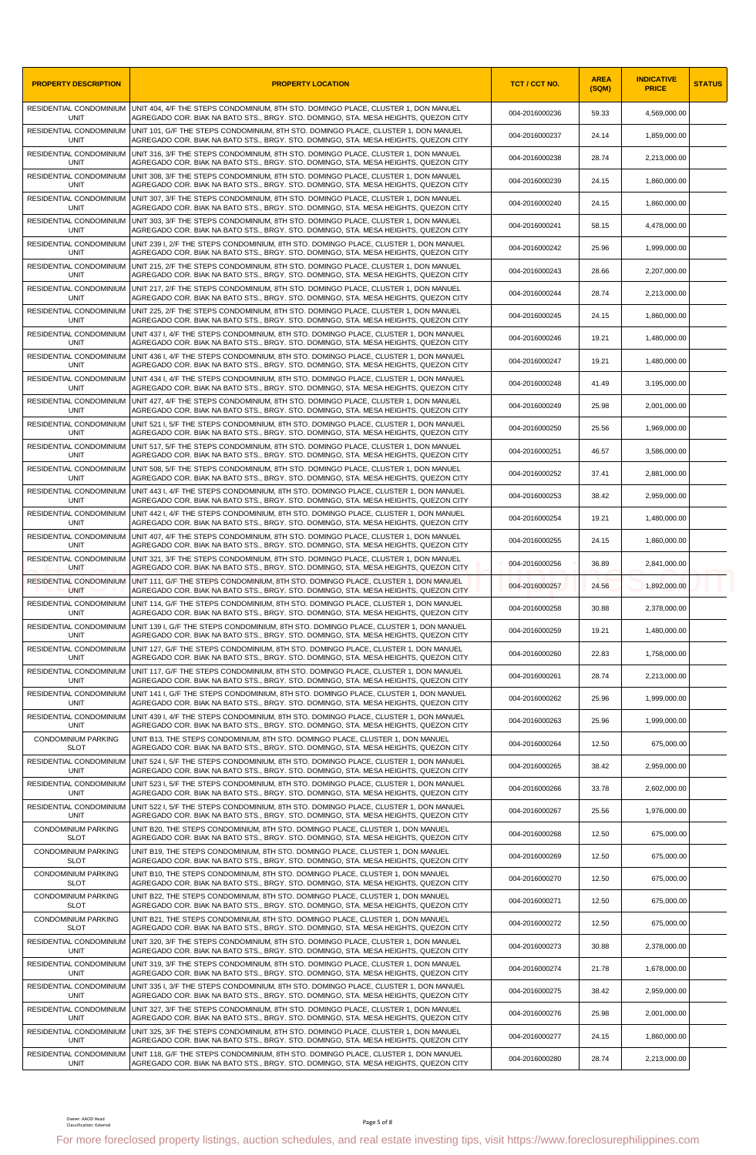| <b>PROPERTY DESCRIPTION</b>                  | <b>PROPERTY LOCATION</b>                                                                                                                                                                              | TCT / CCT NO.  | <b>AREA</b><br>(SQM) | <b>INDICATIVE</b><br><b>PRICE</b> | <b>STATUS</b> |
|----------------------------------------------|-------------------------------------------------------------------------------------------------------------------------------------------------------------------------------------------------------|----------------|----------------------|-----------------------------------|---------------|
| RESIDENTIAL CONDOMINIUM<br><b>UNIT</b>       | UNIT 404, 4/F THE STEPS CONDOMINIUM, 8TH STO. DOMINGO PLACE, CLUSTER 1, DON MANUEL<br>AGREGADO COR. BIAK NA BATO STS., BRGY. STO. DOMINGO, STA. MESA HEIGHTS, QUEZON CITY                             | 004-2016000236 | 59.33                | 4,569,000.00                      |               |
| RESIDENTIAL CONDOMINIUM<br><b>UNIT</b>       | UNIT 101, G/F THE STEPS CONDOMINIUM, 8TH STO. DOMINGO PLACE, CLUSTER 1, DON MANUEL<br>AGREGADO COR. BIAK NA BATO STS., BRGY. STO. DOMINGO, STA. MESA HEIGHTS, QUEZON CITY                             | 004-2016000237 | 24.14                | 1,859,000.00                      |               |
| RESIDENTIAL CONDOMINIUM<br><b>UNIT</b>       | UNIT 316, 3/F THE STEPS CONDOMINIUM, 8TH STO. DOMINGO PLACE, CLUSTER 1, DON MANUEL<br>AGREGADO COR. BIAK NA BATO STS., BRGY. STO. DOMINGO, STA. MESA HEIGHTS, QUEZON CITY                             | 004-2016000238 | 28.74                | 2,213,000.00                      |               |
| RESIDENTIAL CONDOMINIUM<br><b>UNIT</b>       | UNIT 308, 3/F THE STEPS CONDOMINIUM, 8TH STO. DOMINGO PLACE, CLUSTER 1, DON MANUEL<br>AGREGADO COR. BIAK NA BATO STS., BRGY. STO. DOMINGO, STA. MESA HEIGHTS, QUEZON CITY                             | 004-2016000239 | 24.15                | 1,860,000.00                      |               |
| UNIT                                         | RESIDENTIAL CONDOMINIUM UNIT 307, 3/F THE STEPS CONDOMINIUM, 8TH STO. DOMINGO PLACE, CLUSTER 1, DON MANUEL<br>AGREGADO COR. BIAK NA BATO STS., BRGY. STO. DOMINGO, STA. MESA HEIGHTS, QUEZON CITY     | 004-2016000240 | 24.15                | 1,860,000.00                      |               |
| UNIT                                         | RESIDENTIAL CONDOMINIUM UNIT 303, 3/F THE STEPS CONDOMINIUM, 8TH STO. DOMINGO PLACE, CLUSTER 1, DON MANUEL<br>AGREGADO COR. BIAK NA BATO STS., BRGY. STO. DOMINGO, STA. MESA HEIGHTS, QUEZON CITY     | 004-2016000241 | 58.15                | 4,478,000.00                      |               |
| <b>UNIT</b>                                  | RESIDENTIAL CONDOMINIUM UNIT 239 I, 2/F THE STEPS CONDOMINIUM, 8TH STO. DOMINGO PLACE, CLUSTER 1, DON MANUEL<br>AGREGADO COR. BIAK NA BATO STS., BRGY. STO. DOMINGO, STA. MESA HEIGHTS, QUEZON CITY   | 004-2016000242 | 25.96                | 1,999,000.00                      |               |
| RESIDENTIAL CONDOMINIUM<br><b>UNIT</b>       | UNIT 215, 2/F THE STEPS CONDOMINIUM, 8TH STO. DOMINGO PLACE, CLUSTER 1, DON MANUEL<br>AGREGADO COR. BIAK NA BATO STS., BRGY. STO. DOMINGO, STA. MESA HEIGHTS, QUEZON CITY                             | 004-2016000243 | 28.66                | 2,207,000.00                      |               |
| RESIDENTIAL CONDOMINIUM<br>UNIT              | UNIT 217, 2/F THE STEPS CONDOMINIUM, 8TH STO. DOMINGO PLACE, CLUSTER 1, DON MANUEL<br>AGREGADO COR. BIAK NA BATO STS., BRGY. STO. DOMINGO, STA. MESA HEIGHTS, QUEZON CITY                             | 004-2016000244 | 28.74                | 2,213,000.00                      |               |
| RESIDENTIAL CONDOMINIUM<br>UNIT              | UNIT 225, 2/F THE STEPS CONDOMINIUM, 8TH STO, DOMINGO PLACE, CLUSTER 1, DON MANUEL<br>AGREGADO COR. BIAK NA BATO STS., BRGY. STO. DOMINGO, STA. MESA HEIGHTS, QUEZON CITY                             | 004-2016000245 | 24.15                | 1,860,000.00                      |               |
| RESIDENTIAL CONDOMINIUM<br>UNIT              | UNIT 437 I, 4/F THE STEPS CONDOMINIUM, 8TH STO. DOMINGO PLACE, CLUSTER 1, DON MANUEL<br>AGREGADO COR. BIAK NA BATO STS., BRGY. STO. DOMINGO, STA. MESA HEIGHTS, QUEZON CITY                           | 004-2016000246 | 19.21                | 1,480,000.00                      |               |
| RESIDENTIAL CONDOMINIUM<br>UNIT              | UNIT 436 I, 4/F THE STEPS CONDOMINIUM, 8TH STO. DOMINGO PLACE, CLUSTER 1, DON MANUEL<br>AGREGADO COR. BIAK NA BATO STS., BRGY. STO. DOMINGO, STA. MESA HEIGHTS, QUEZON CITY                           | 004-2016000247 | 19.21                | 1,480,000.00                      |               |
| RESIDENTIAL CONDOMINIUM<br><b>UNIT</b>       | UNIT 434 I, 4/F THE STEPS CONDOMINIUM, 8TH STO. DOMINGO PLACE, CLUSTER 1, DON MANUEL<br>AGREGADO COR. BIAK NA BATO STS., BRGY, STO, DOMINGO, STA, MESA HEIGHTS, QUEZON CITY                           | 004-2016000248 | 41.49                | 3,195,000.00                      |               |
| RESIDENTIAL CONDOMINIUM<br>UNIT              | UNIT 427, 4/F THE STEPS CONDOMINIUM, 8TH STO. DOMINGO PLACE, CLUSTER 1, DON MANUEL                                                                                                                    | 004-2016000249 | 25.98                | 2,001,000.00                      |               |
| RESIDENTIAL CONDOMINIUM                      | AGREGADO COR. BIAK NA BATO STS., BRGY. STO. DOMINGO, STA. MESA HEIGHTS, QUEZON CITY<br>UNIT 521 I, 5/F THE STEPS CONDOMINIUM, 8TH STO. DOMINGO PLACE, CLUSTER 1, DON MANUEL                           | 004-2016000250 | 25.56                | 1,969,000.00                      |               |
| <b>UNIT</b><br>RESIDENTIAL CONDOMINIUM       | AGREGADO COR. BIAK NA BATO STS., BRGY. STO. DOMINGO, STA. MESA HEIGHTS, QUEZON CITY<br>UNIT 517, 5/F THE STEPS CONDOMINIUM, 8TH STO. DOMINGO PLACE, CLUSTER 1, DON MANUEL                             | 004-2016000251 | 46.57                | 3,586,000.00                      |               |
| <b>UNIT</b><br>RESIDENTIAL CONDOMINIUM       | AGREGADO COR. BIAK NA BATO STS., BRGY. STO. DOMINGO, STA. MESA HEIGHTS, QUEZON CITY<br>UNIT 508, 5/F THE STEPS CONDOMINIUM, 8TH STO. DOMINGO PLACE, CLUSTER 1, DON MANUEL                             | 004-2016000252 | 37.41                | 2,881,000.00                      |               |
| <b>UNIT</b>                                  | AGREGADO COR. BIAK NA BATO STS., BRGY. STO. DOMINGO, STA. MESA HEIGHTS, QUEZON CITY<br>RESIDENTIAL CONDOMINIUM UNIT 443 I, 4/F THE STEPS CONDOMINIUM, 8TH STO. DOMINGO PLACE, CLUSTER 1, DON MANUEL   | 004-2016000253 | 38.42                | 2,959,000.00                      |               |
| UNIT                                         | AGREGADO COR. BIAK NA BATO STS., BRGY. STO. DOMINGO, STA. MESA HEIGHTS, QUEZON CITY<br>RESIDENTIAL CONDOMINIUM UNIT 442 I, 4/F THE STEPS CONDOMINIUM, 8TH STO. DOMINGO PLACE, CLUSTER 1, DON MANUEL   | 004-2016000254 | 19.21                | 1,480,000.00                      |               |
| <b>UNIT</b>                                  | AGREGADO COR. BIAK NA BATO STS., BRGY. STO. DOMINGO, STA. MESA HEIGHTS, QUEZON CITY<br>RESIDENTIAL CONDOMINIUM UNIT 407, 4/F THE STEPS CONDOMINIUM, 8TH STO. DOMINGO PLACE, CLUSTER 1, DON MANUEL     | 004-2016000255 |                      |                                   |               |
| <b>UNIT</b><br>RESIDENTIAL CONDOMINIUM       | AGREGADO COR. BIAK NA BATO STS., BRGY. STO. DOMINGO, STA. MESA HEIGHTS, QUEZON CITY<br>UNIT 321, 3/F THE STEPS CONDOMINIUM, 8TH STO. DOMINGO PLACE, CLUSTER 1, DON MANUEL                             |                | 24.15                | 1,860,000.00                      |               |
| <b>UNIT</b><br>RESIDENTIAL CONDOMINIUM       | AGREGADO COR. BIAK NA BATO STS., BRGY. STO. DOMINGO, STA. MESA HEIGHTS, QUEZON CITY<br>UNIT 111, G/F THE STEPS CONDOMINIUM, 8TH STO. DOMINGO PLACE, CLUSTER 1, DON MANUEL                             | 004-2016000256 | 36.89                | 2,841,000.00                      |               |
| <b>UNIT</b><br>RESIDENTIAL CONDOMINIUM       | AGREGADO COR. BIAK NA BATO STS., BRGY. STO. DOMINGO, STA. MESA HEIGHTS, QUEZON CITY<br>UNIT 114, G/F THE STEPS CONDOMINIUM, 8TH STO. DOMINGO PLACE, CLUSTER 1, DON MANUEL                             | 004-2016000257 | 24.56                | 1,892,000.00                      |               |
| UNIT                                         | AGREGADO COR. BIAK NA BATO STS., BRGY. STO. DOMINGO, STA. MESA HEIGHTS, QUEZON CITY<br>RESIDENTIAL CONDOMINIUM   UNIT 139 I, G/F THE STEPS CONDOMINIUM, 8TH STO. DOMINGO PLACE, CLUSTER 1, DON MANUEL | 004-2016000258 | 30.88                | 2,378,000.00                      |               |
| <b>UNIT</b><br>RESIDENTIAL CONDOMINIUM       | AGREGADO COR. BIAK NA BATO STS., BRGY. STO. DOMINGO, STA. MESA HEIGHTS, QUEZON CITY<br>UNIT 127, G/F THE STEPS CONDOMINIUM, 8TH STO, DOMINGO PLACE, CLUSTER 1, DON MANUEL                             | 004-2016000259 | 19.21                | 1,480,000.00                      |               |
| <b>UNIT</b><br>RESIDENTIAL CONDOMINIUM       | AGREGADO COR. BIAK NA BATO STS., BRGY. STO. DOMINGO, STA. MESA HEIGHTS, QUEZON CITY<br>UNIT 117, G/F THE STEPS CONDOMINIUM, 8TH STO. DOMINGO PLACE, CLUSTER 1, DON MANUEL                             | 004-2016000260 | 22.83                | 1,758,000.00                      |               |
| <b>UNIT</b>                                  | AGREGADO COR. BIAK NA BATO STS., BRGY. STO. DOMINGO, STA. MESA HEIGHTS, QUEZON CITY<br>RESIDENTIAL CONDOMINIUM UNIT 141 I, G/F THE STEPS CONDOMINIUM, 8TH STO. DOMINGO PLACE, CLUSTER 1, DON MANUEL   | 004-2016000261 | 28.74                | 2,213,000.00                      |               |
| <b>UNIT</b><br>RESIDENTIAL CONDOMINIUM       | AGREGADO COR. BIAK NA BATO STS., BRGY. STO. DOMINGO, STA. MESA HEIGHTS, QUEZON CITY                                                                                                                   | 004-2016000262 | 25.96                | 1.999.000.00                      |               |
| <b>UNIT</b>                                  | UNIT 439 I, 4/F THE STEPS CONDOMINIUM, 8TH STO. DOMINGO PLACE, CLUSTER 1, DON MANUEL<br>AGREGADO COR. BIAK NA BATO STS., BRGY. STO. DOMINGO, STA. MESA HEIGHTS, QUEZON CITY                           | 004-2016000263 | 25.96                | 1,999,000.00                      |               |
| <b>CONDOMINIUM PARKING</b><br><b>SLOT</b>    | UNIT B13. THE STEPS CONDOMINIUM. 8TH STO, DOMINGO PLACE, CLUSTER 1, DON MANUEL<br>AGREGADO COR. BIAK NA BATO STS., BRGY. STO. DOMINGO, STA. MESA HEIGHTS, QUEZON CITY                                 | 004-2016000264 | 12.50                | 675,000.00                        |               |
| <b>UNIT</b>                                  | RESIDENTIAL CONDOMINIUM UNIT 524 I. 5/F THE STEPS CONDOMINIUM. 8TH STO, DOMINGO PLACE, CLUSTER 1, DON MANUEL<br>AGREGADO COR. BIAK NA BATO STS., BRGY, STO, DOMINGO, STA, MESA HEIGHTS, QUEZON CITY   | 004-2016000265 | 38.42                | 2,959,000.00                      |               |
| UNIT                                         | RESIDENTIAL CONDOMINIUM   UNIT 523 I, 5/F THE STEPS CONDOMINIUM, 8TH STO. DOMINGO PLACE, CLUSTER 1, DON MANUEL<br>AGREGADO COR. BIAK NA BATO STS., BRGY. STO. DOMINGO, STA. MESA HEIGHTS, QUEZON CITY | 004-2016000266 | 33.78                | 2,602,000.00                      |               |
| RESIDENTIAL CONDOMINIUM<br><b>UNIT</b>       | UNIT 522 I, 5/F THE STEPS CONDOMINIUM, 8TH STO. DOMINGO PLACE, CLUSTER 1, DON MANUEL<br>AGREGADO COR. BIAK NA BATO STS., BRGY. STO. DOMINGO, STA. MESA HEIGHTS, QUEZON CITY                           | 004-2016000267 | 25.56                | 1,976,000.00                      |               |
| <b>CONDOMINIUM PARKING</b><br><b>SLOT</b>    | UNIT B20, THE STEPS CONDOMINIUM, 8TH STO. DOMINGO PLACE, CLUSTER 1, DON MANUEL<br>AGREGADO COR. BIAK NA BATO STS., BRGY. STO. DOMINGO, STA. MESA HEIGHTS, QUEZON CITY                                 | 004-2016000268 | 12.50                | 675,000.00                        |               |
| <b>CONDOMINIUM PARKING</b><br><b>SLOT</b>    | UNIT B19, THE STEPS CONDOMINIUM, 8TH STO. DOMINGO PLACE, CLUSTER 1, DON MANUEL<br>AGREGADO COR. BIAK NA BATO STS., BRGY. STO. DOMINGO, STA. MESA HEIGHTS, QUEZON CITY                                 | 004-2016000269 | 12.50                | 675,000.00                        |               |
| <b>CONDOMINIUM PARKING</b><br><b>SLOT</b>    | UNIT B10, THE STEPS CONDOMINIUM, 8TH STO. DOMINGO PLACE, CLUSTER 1, DON MANUEL<br>AGREGADO COR. BIAK NA BATO STS., BRGY. STO. DOMINGO, STA. MESA HEIGHTS, QUEZON CITY                                 | 004-2016000270 | 12.50                | 675,000.00                        |               |
| <b>CONDOMINIUM PARKING</b><br><b>SLOT</b>    | UNIT B22, THE STEPS CONDOMINIUM, 8TH STO. DOMINGO PLACE, CLUSTER 1, DON MANUEL<br>AGREGADO COR. BIAK NA BATO STS., BRGY. STO. DOMINGO, STA. MESA HEIGHTS, QUEZON CITY                                 | 004-2016000271 | 12.50                | 675,000.00                        |               |
| <b>CONDOMINIUM PARKING</b><br><b>SLOT</b>    | UNIT B21, THE STEPS CONDOMINIUM, 8TH STO. DOMINGO PLACE, CLUSTER 1, DON MANUEL<br>AGREGADO COR. BIAK NA BATO STS., BRGY. STO. DOMINGO, STA. MESA HEIGHTS, QUEZON CITY                                 | 004-2016000272 | 12.50                | 675,000.00                        |               |
| RESIDENTIAL CONDOMINIUM<br><b>UNIT</b>       | UNIT 320, 3/F THE STEPS CONDOMINIUM, 8TH STO. DOMINGO PLACE, CLUSTER 1, DON MANUEL<br>AGREGADO COR. BIAK NA BATO STS., BRGY. STO. DOMINGO, STA. MESA HEIGHTS, QUEZON CITY                             | 004-2016000273 | 30.88                | 2,378,000.00                      |               |
| RESIDENTIAL CONDOMINIUM<br><b>UNIT</b>       | UNIT 319, 3/F THE STEPS CONDOMINIUM, 8TH STO. DOMINGO PLACE, CLUSTER 1, DON MANUEL<br>AGREGADO COR. BIAK NA BATO STS., BRGY. STO. DOMINGO, STA. MESA HEIGHTS, QUEZON CITY                             | 004-2016000274 | 21.78                | 1,678,000.00                      |               |
| RESIDENTIAL CONDOMINIUM<br><b>UNIT</b>       | UNIT 335 I, 3/F THE STEPS CONDOMINIUM, 8TH STO. DOMINGO PLACE, CLUSTER 1, DON MANUEL<br>AGREGADO COR. BIAK NA BATO STS., BRGY. STO. DOMINGO, STA. MESA HEIGHTS, QUEZON CITY                           | 004-2016000275 | 38.42                | 2,959,000.00                      |               |
| RESIDENTIAL CONDOMINIUM<br><b>UNIT</b>       | UNIT 327, 3/F THE STEPS CONDOMINIUM, 8TH STO. DOMINGO PLACE, CLUSTER 1, DON MANUEL<br>AGREGADO COR. BIAK NA BATO STS., BRGY. STO. DOMINGO, STA. MESA HEIGHTS, QUEZON CITY                             | 004-2016000276 | 25.98                | 2,001,000.00                      |               |
| RESIDENTIAL CONDOMINIUM<br><b>UNIT</b>       | UNIT 325, 3/F THE STEPS CONDOMINIUM, 8TH STO, DOMINGO PLACE, CLUSTER 1, DON MANUEL<br>AGREGADO COR. BIAK NA BATO STS., BRGY. STO. DOMINGO, STA. MESA HEIGHTS, QUEZON CITY                             | 004-2016000277 | 24.15                | 1,860,000.00                      |               |
| RESIDENTIAL CONDOMINIUM<br><b>UNIT</b>       | UNIT 118, G/F THE STEPS CONDOMINIUM, 8TH STO. DOMINGO PLACE, CLUSTER 1, DON MANUEL<br>AGREGADO COR. BIAK NA BATO STS., BRGY. STO. DOMINGO, STA. MESA HEIGHTS, QUEZON CITY                             | 004-2016000280 | 28.74                | 2,213,000.00                      |               |
| Owner: AAOD Head<br>Classification: External | Page 5 of 8<br>For more foreclosed property listings, auction schedules, and real estate investing tips, visit https://www.foreclosurephilippines.com                                                 |                |                      |                                   |               |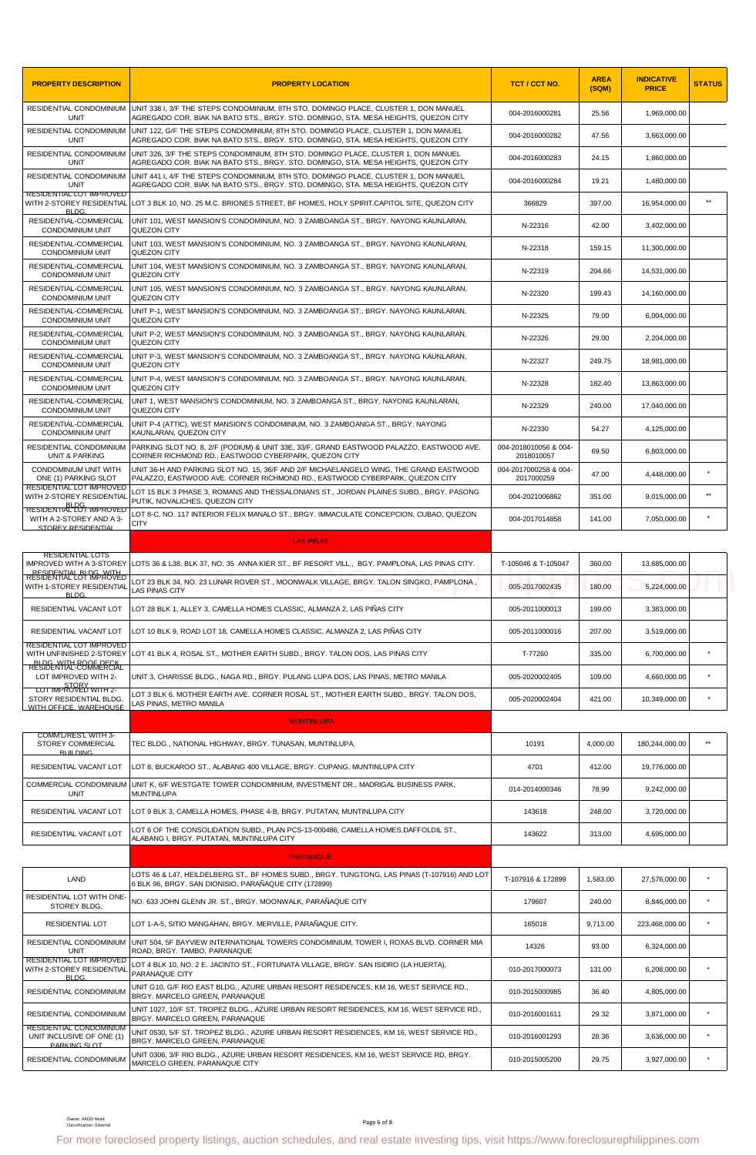| <b>PROPERTY DESCRIPTION</b>                                 | <b>PROPERTY LOCATION</b>                                                                                                                                                    | TCT / CCT NO.                       | <b>AREA</b><br>(SQM) | <b>INDICATIVE</b><br><b>PRICE</b> | <b>STATUS</b> |
|-------------------------------------------------------------|-----------------------------------------------------------------------------------------------------------------------------------------------------------------------------|-------------------------------------|----------------------|-----------------------------------|---------------|
| RESIDENTIAL CONDOMINIUM<br>UNIT                             | UNIT 338 I, 3/F THE STEPS CONDOMINIUM, 8TH STO. DOMINGO PLACE, CLUSTER 1, DON MANUEL<br>AGREGADO COR. BIAK NA BATO STS., BRGY. STO. DOMINGO, STA. MESA HEIGHTS, QUEZON CITY | 004-2016000281                      | 25.56                | 1,969,000.00                      |               |
| RESIDENTIAL CONDOMINIUM<br><b>UNIT</b>                      | UNIT 122, G/F THE STEPS CONDOMINIUM, 8TH STO. DOMINGO PLACE, CLUSTER 1, DON MANUEL<br>AGREGADO COR. BIAK NA BATO STS., BRGY. STO. DOMINGO, STA. MESA HEIGHTS, QUEZON CITY   | 004-2016000282                      | 47.56                | 3,663,000.00                      |               |
| RESIDENTIAL CONDOMINIUM<br>UNIT                             | UNIT 326, 3/F THE STEPS CONDOMINIUM, 8TH STO. DOMINGO PLACE, CLUSTER 1, DON MANUEL<br>AGREGADO COR. BIAK NA BATO STS., BRGY. STO. DOMINGO, STA. MESA HEIGHTS, QUEZON CITY   | 004-2016000283                      | 24.15                | 1,860,000.00                      |               |
| RESIDENTIAL CONDOMINIUM<br>UNIT                             | UNIT 441 I, 4/F THE STEPS CONDOMINIUM, 8TH STO. DOMINGO PLACE, CLUSTER 1, DON MANUEL<br>AGREGADO COR. BIAK NA BATO STS., BRGY. STO. DOMINGO, STA. MESA HEIGHTS, QUEZON CITY | 004-2016000284                      | 19.21                | 1,480,000.00                      |               |
| RESIDENTIAL LOT IMPROVED<br><b>BLDG</b>                     | WITH 2-STOREY RESIDENTIAL LOT 3 BLK 10, NO. 25 M.C. BRIONES STREET, BF HOMES, HOLY SPIRIT,CAPITOL SITE, QUEZON CITY                                                         | 366829                              | 397.00               | 16,954,000.00                     | $**$          |
| RESIDENTIAL-COMMERCIAL<br><b>CONDOMINIUM UNIT</b>           | UNIT 101, WEST MANSION'S CONDOMINIUM, NO. 3 ZAMBOANGA ST., BRGY. NAYONG KAUNLARAN,<br>QUEZON CITY                                                                           | N-22316                             | 42.00                | 3,402,000.00                      |               |
| RESIDENTIAL-COMMERCIAL<br><b>CONDOMINIUM UNIT</b>           | UNIT 103, WEST MANSION'S CONDOMINIUM, NO. 3 ZAMBOANGA ST., BRGY. NAYONG KAUNLARAN,<br>QUEZON CITY                                                                           | N-22318                             | 159.15               | 11,300,000.00                     |               |
| RESIDENTIAL-COMMERCIAL<br><b>CONDOMINIUM UNIT</b>           | UNIT 104, WEST MANSION'S CONDOMINIUM, NO. 3 ZAMBOANGA ST., BRGY. NAYONG KAUNLARAN,<br>QUEZON CITY                                                                           | N-22319                             | 204.66               | 14,531,000.00                     |               |
| RESIDENTIAL-COMMERCIAL<br><b>CONDOMINIUM UNIT</b>           | UNIT 105, WEST MANSION'S CONDOMINIUM, NO. 3 ZAMBOANGA ST., BRGY. NAYONG KAUNLARAN,<br>QUEZON CITY                                                                           | N-22320                             | 199.43               | 14,160,000.00                     |               |
| RESIDENTIAL-COMMERCIAL<br><b>CONDOMINIUM UNIT</b>           | UNIT P-1, WEST MANSION'S CONDOMINIUM, NO. 3 ZAMBOANGA ST., BRGY. NAYONG KAUNLARAN,<br>QUEZON CITY                                                                           | N-22325                             | 79.00                | 6,004,000.00                      |               |
| RESIDENTIAL-COMMERCIAL<br><b>CONDOMINIUM UNIT</b>           | UNIT P-2, WEST MANSION'S CONDOMINIUM, NO. 3 ZAMBOANGA ST., BRGY. NAYONG KAUNLARAN,<br>QUEZON CITY                                                                           | N-22326                             | 29.00                | 2,204,000.00                      |               |
| RESIDENTIAL-COMMERCIAL<br><b>CONDOMINIUM UNIT</b>           | UNIT P-3, WEST MANSION'S CONDOMINIUM, NO. 3 ZAMBOANGA ST., BRGY. NAYONG KAUNLARAN,<br>QUEZON CITY                                                                           | N-22327                             | 249.75               | 18,981,000.00                     |               |
| RESIDENTIAL-COMMERCIAL<br><b>CONDOMINIUM UNIT</b>           | UNIT P-4, WEST MANSION'S CONDOMINIUM, NO. 3 ZAMBOANGA ST., BRGY. NAYONG KAUNLARAN,<br>QUEZON CITY                                                                           | N-22328                             | 182.40               | 13,863,000.00                     |               |
| RESIDENTIAL-COMMERCIAL<br><b>CONDOMINIUM UNIT</b>           | UNIT 1, WEST MANSION'S CONDOMINIUM, NO. 3 ZAMBOANGA ST., BRGY. NAYONG KAUNLARAN,<br>QUEZON CITY                                                                             | N-22329                             | 240.00               | 17,040,000.00                     |               |
| RESIDENTIAL-COMMERCIAL<br><b>CONDOMINIUM UNIT</b>           | UNIT P-4 (ATTIC), WEST MANSION'S CONDOMINIUM, NO. 3 ZAMBOANGA ST., BRGY. NAYONG<br>KAUNLARAN, QUEZON CITY                                                                   | N-22330                             | 54.27                | 4,125,000.00                      |               |
| RESIDENTIAL CONDOMINIUM<br><b>UNIT &amp; PARKING</b>        | PARKING SLOT NO. 8, 2/F (PODIUM) & UNIT 33E, 33/F, GRAND EASTWOOD PALAZZO, EASTWOOD AVE.<br>CORNER RICHMOND RD., EASTWOOD CYBERPARK, QUEZON CITY                            | 004-2018010056 & 004-<br>2018010057 | 69.50                | 6,803,000.00                      |               |
| CONDOMINIUM UNIT WITH<br>ONE (1) PARKING SLOT               | UNIT 36-H AND PARKING SLOT NO. 15, 36/F AND 2/F MICHAELANGELO WING, THE GRAND EASTWOOD<br>PALAZZO, EASTWOOD AVE. CORNER RICHMOND RD., EASTWOOD CYBERPARK, QUEZON CITY       | 004-2017000258 & 004-<br>2017000259 | 47.00                | 4,448,000.00                      |               |
| RESIDENTIAL LOT IMPROVED<br>WITH 2-STOREY RESIDENTIAL       | LOT 15 BLK 3 PHASE 3, ROMANS AND THESSALONIANS ST., JORDAN PLAINES SUBD., BRGY. PASONG<br>PUTIK, NOVALICHES, QUEZON CITY                                                    | 004-2021006862                      | 351.00               | 9,015,000.00                      | $**$          |
| <b>RESIDENTIAL LOT IMPROVED</b><br>WITH A 2-STOREY AND A 3- | LOT 8-C, NO. 117 INTERIOR FELIX MANALO ST., BRGY. IMMACULATE CONCEPCION, CUBAO, QUEZON<br><b>CITY</b>                                                                       | 004-2017014858                      | 141.00               | 7,050,000.00                      |               |
| STOREY RESIDENTIAL                                          | <b>LAS PIÑAS</b>                                                                                                                                                            |                                     |                      |                                   |               |
| <b>RESIDENTIAL LOTS</b>                                     | IMPROVED WITH A 3-STOREY LLOTS 36 & L38, BLK 37, NO. 35 ANNA KIER ST., BF RESORT VILL., BGY. PAMPLONA, LAS PINAS CITY.                                                      | T-105046 & T-105047                 | 360.00               | 13,685,000.00                     |               |
| <b>RESIDENTIAL BI DG-ROVED</b><br>WITH 1-STOREY RESIDENTIAL | LOT 23 BLK 34, NO. 23 LUNAR ROVER ST., MOONWALK VILLAGE, BRGY. TALON SINGKO, PAMPLONA ,                                                                                     | 005-2017002435                      | 180.00               | 5,224,000.00                      |               |
| <b>BLDG</b><br>RESIDENTIAL VACANT LOT                       | <b>LAS PINAS CITY</b><br>LOT 28 BLK 1, ALLEY 3, CAMELLA HOMES CLASSIC, ALMANZA 2, LAS PIÑAS CITY                                                                            | 005-2011000013                      | 199.00               | 3,383,000.00                      |               |
| RESIDENTIAL VACANT LOT                                      | LOT 10 BLK 9, ROAD LOT 18, CAMELLA HOMES CLASSIC, ALMANZA 2, LAS PIÑAS CITY                                                                                                 | 005-2011000016                      | 207.00               | 3.519.000.00                      |               |
| RESIDENTIAL LOT IMPROVED<br>WITH UNFINISHED 2-STOREY        | LOT 41 BLK 4, ROSAL ST., MOTHER EARTH SUBD., BRGY. TALON DOS, LAS PINAS CITY                                                                                                | T-77260                             | 335.00               | 6,700,000.00                      | $\star$       |
| BLDG WHAT BOOK DECK<br>LOT IMPROVED WITH 2-                 | UNIT 3, CHARISSE BLDG., NAGA RD., BRGY. PULANG LUPA DOS, LAS PINAS, METRO MANILA                                                                                            | 005-2020002405                      | 109.00               | 4,660,000.00                      | $\star$       |
| LOT IMPROVED WITH 2-<br>STORY RESIDENTIAL BLDG.             | OT 3 BLK 6, MOTHER EARTH AVE. CORNER ROSAL ST., MOTHER EARTH SUBD., BRGY. TALON DOS,                                                                                        | 005-2020002404                      | 421.00               | 10,349,000.00                     | $\star$       |
| WITH OFFICE WAREHOUSE                                       | LAS PINAS, METRO MANILA                                                                                                                                                     |                                     |                      |                                   |               |
| COMM'L/RES'L WITH 3-                                        | <b>MUNTINLUPA</b>                                                                                                                                                           |                                     |                      |                                   | $\star\star$  |
| <b>STOREY COMMERCIAL</b><br><b>BUILDING</b>                 | TEC BLDG., NATIONAL HIGHWAY, BRGY. TUNASAN, MUNTINLUPA.                                                                                                                     | 10191                               | 4,000.00             | 180,244,000.00                    |               |
| RESIDENTIAL VACANT LOT<br>COMMERCIAL CONDOMINIUM            | LOT 8, BUCKAROO ST., ALABANG 400 VILLAGE, BRGY. CUPANG, MUNTINLUPA CITY<br>UNIT K, 6/F WESTGATE TOWER CONDOMINIUM, INVESTMENT DR., MADRIGAL BUSINESS PARK,                  | 4701                                | 412.00               | 19,776,000.00                     |               |
| <b>UNIT</b>                                                 | <b>MUNTINLUPA</b>                                                                                                                                                           | 014-2014000346                      | 78.99                | 9,242,000.00                      |               |
| RESIDENTIAL VACANT LOT                                      | LOT 9 BLK 3, CAMELLA HOMES, PHASE 4-B, BRGY. PUTATAN, MUNTINLUPA CITY<br>LOT 6 OF THE CONSOLIDATION SUBD., PLAN PCS-13-000486, CAMELLA HOMES, DAFFOLDIL ST.,                | 143618                              | 248.00               | 3,720,000.00                      |               |
| RESIDENTIAL VACANT LOT                                      | ALABANG I, BRGY. PUTATAN, MUNTINLUPA CITY                                                                                                                                   | 143622                              | 313.00               | 4,695,000.00                      |               |
|                                                             | <b>PARANAQUE</b><br>LOTS 46 & L47, HEILDELBERG ST., BF HOMES SUBD., BRGY. TUNGTONG, LAS PINAS (T-107916) AND LOT                                                            |                                     |                      |                                   |               |
| LAND<br>RESIDENTIAL LOT WITH ONE                            | 6 BLK 96, BRGY. SAN DIONISIO, PARAÑAQUE CITY (172899)                                                                                                                       | T-107916 & 172899                   | 1,583.00             | 27,576,000.00                     |               |
| STOREY BLDG.                                                | NO. 633 JOHN GLENN JR. ST., BRGY. MOONWALK, PARAÑAQUE CITY                                                                                                                  | 179607                              | 240.00               | 8,846,000.00                      |               |
| RESIDENTIAL LOT                                             | LOT 1-A-5, SITIO MANGAHAN, BRGY. MERVILLE, PARAÑAQUE CITY.                                                                                                                  | 165018                              | 9,713.00             | 223,468,000.00                    |               |
| RESIDENTIAL CONDOMINIUM<br>UNIT<br>RESIDENTIAL LOT IMPROVED | UNIT 504, 5F BAYVIEW INTERNATIONAL TOWERS CONDOMINIUM, TOWER I, ROXAS BLVD. CORNER MIA<br>ROAD, BRGY. TAMBO, PARANAQUE                                                      | 14326                               | 93.00                | 6,324,000.00                      |               |
| WITH 2-STOREY RESIDENTIAL<br><b>BLDG</b>                    | LOT 4 BLK 10, NO. 2 E. JACINTO ST., FORTUNATA VILLAGE, BRGY. SAN ISIDRO (LA HUERTA),<br>PARANAQUE CITY                                                                      | 010-2017000073                      | 131.00               | 6,208,000.00                      |               |
| RESIDENTIAL CONDOMINIUM                                     | UNIT G10, G/F RIO EAST BLDG., AZURE URBAN RESORT RESIDENCES, KM 16, WEST SERVICE RD.,<br>BRGY. MARCELO GREEN, PARANAQUE                                                     | 010-2015000985                      | 36.40                | 4,805,000.00                      |               |
| RESIDENTIAL CONDOMINIUM<br><b>RESIDENTIAL CONDOMINIUM</b>   | UNIT 1027, 10/F ST. TROPEZ BLDG., AZURE URBAN RESORT RESIDENCES, KM 16, WEST SERVICE RD.,<br>BRGY. MARCELO GREEN, PARANAQUE                                                 | 010-2016001611                      | 29.32                | 3.871.000.00                      |               |
| UNIT INCLUSIVE OF ONE (1)<br>PARKING SLOT                   | UNIT 0530, 5/F ST. TROPEZ BLDG., AZURE URBAN RESORT RESIDENCES, KM 16, WEST SERVICE RD.,<br>BRGY. MARCELO GREEN, PARANAQUE                                                  | 010-2016001293                      | 28.36                | 3,636,000.00                      | $\star$       |
| <b>RESIDENTIAL CONDOMINIUM</b>                              | UNIT 0306, 3/F RIO BLDG., AZURE URBAN RESORT RESIDENCES, KM 16, WEST SERVICE RD, BRGY.<br>MARCELO GREEN, PARANAQUE CITY                                                     | 010-2015005200                      | 29.75                | 3,927,000.00                      | $\star$       |
| Owner: AAOD Head<br>Classification: External                | Page 6 of 8<br>For more foreclosed property listings, auction schedules, and real estate investing tips, visit https://www.foreclosurephilippines.com                       |                                     |                      |                                   |               |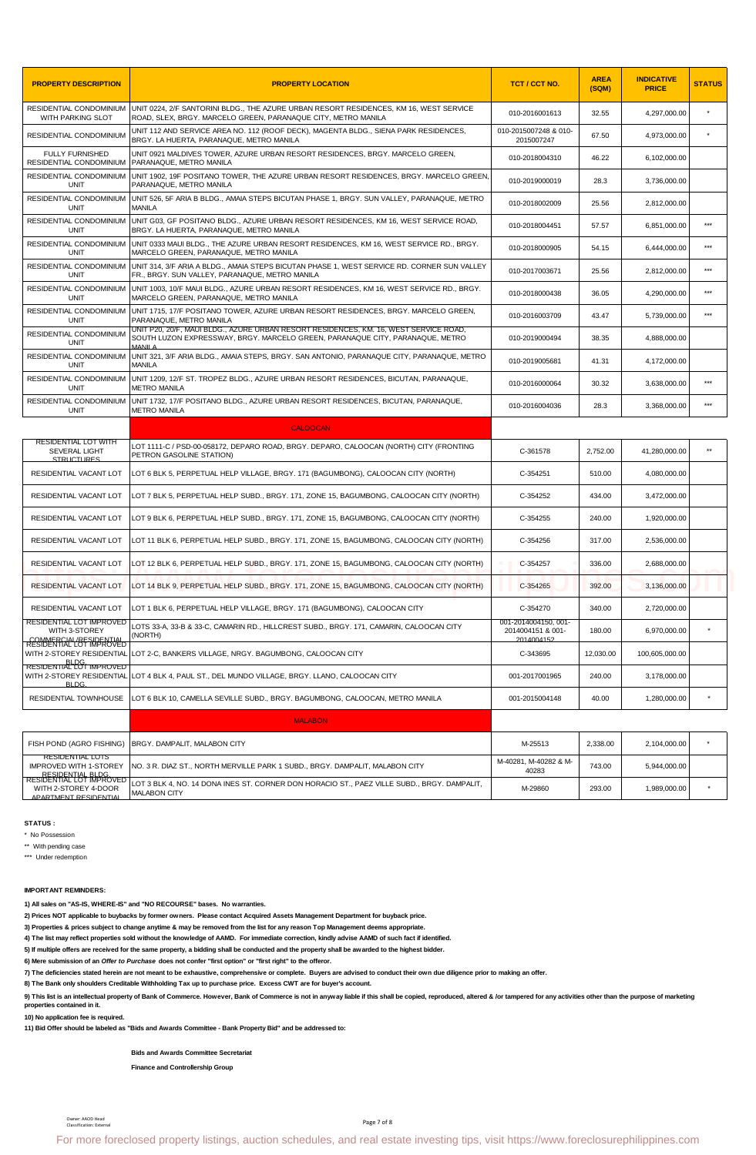| <b>PROPERTY DESCRIPTION</b>                                          | <b>PROPERTY LOCATION</b>                                                                                                                                                        | TCT / CCT NO.                                           | <b>AREA</b><br>(SQM) | <b>INDICATIVE</b><br><b>PRICE</b> | <b>STATUS</b> |
|----------------------------------------------------------------------|---------------------------------------------------------------------------------------------------------------------------------------------------------------------------------|---------------------------------------------------------|----------------------|-----------------------------------|---------------|
| WITH PARKING SLOT                                                    | RESIDENTIAL CONDOMINIUM UNIT 0224, 2/F SANTORINI BLDG., THE AZURE URBAN RESORT RESIDENCES, KM 16, WEST SERVICE<br>ROAD, SLEX, BRGY. MARCELO GREEN, PARANAQUE CITY, METRO MANILA | 010-2016001613                                          | 32.55                | 4,297,000.00                      |               |
| RESIDENTIAL CONDOMINIUM                                              | UNIT 112 AND SERVICE AREA NO. 112 (ROOF DECK), MAGENTA BLDG., SIENA PARK RESIDENCES,<br>BRGY, LA HUERTA, PARANAQUE, METRO MANILA                                                | 010-2015007248 & 010-<br>2015007247                     | 67.50                | 4,973,000.00                      |               |
| <b>FULLY FURNISHED</b><br>RESIDENTIAL CONDOMINIUM                    | UNIT 0921 MALDIVES TOWER, AZURE URBAN RESORT RESIDENCES, BRGY. MARCELO GREEN,<br>PARANAQUE, METRO MANILA                                                                        | 010-2018004310                                          | 46.22                | 6.102.000.00                      |               |
| RESIDENTIAL CONDOMINIUM<br>UNIT                                      | UNIT 1902, 19F POSITANO TOWER, THE AZURE URBAN RESORT RESIDENCES, BRGY. MARCELO GREEN,<br>PARANAQUE, METRO MANILA                                                               | 010-2019000019                                          | 28.3                 | 3,736,000.00                      |               |
| RESIDENTIAL CONDOMINIUM<br>UNIT                                      | UNIT 526, 5F ARIA B BLDG., AMAIA STEPS BICUTAN PHASE 1, BRGY. SUN VALLEY, PARANAQUE, METRO<br><b>MANILA</b>                                                                     | 010-2018002009                                          | 25.56                | 2,812,000.00                      |               |
| RESIDENTIAL CONDOMINIUM<br><b>UNIT</b>                               | UNIT G03, GF POSITANO BLDG., AZURE URBAN RESORT RESIDENCES, KM 16, WEST SERVICE ROAD,<br>BRGY. LA HUERTA, PARANAQUE, METRO MANILA                                               | 010-2018004451                                          | 57.57                | 6,851,000.00                      | $***$         |
| RESIDENTIAL CONDOMINIUM<br>UNIT                                      | UNIT 0333 MAUI BLDG., THE AZURE URBAN RESORT RESIDENCES, KM 16, WEST SERVICE RD., BRGY.<br>MARCELO GREEN, PARANAQUE, METRO MANILA                                               | 010-2018000905                                          | 54.15                | 6,444,000.00                      | $***$         |
| RESIDENTIAL CONDOMINIUM<br><b>UNIT</b>                               | UNIT 314, 3/F ARIA A BLDG., AMAIA STEPS BICUTAN PHASE 1, WEST SERVICE RD. CORNER SUN VALLEY<br>FR., BRGY. SUN VALLEY, PARANAQUE, METRO MANILA                                   | 010-2017003671                                          | 25.56                | 2.812.000.00                      | $***$         |
| RESIDENTIAL CONDOMINIUM<br>UNIT                                      | UNIT 1003, 10/F MAUI BLDG., AZURE URBAN RESORT RESIDENCES, KM 16, WEST SERVICE RD., BRGY.<br>MARCELO GREEN, PARANAQUE, METRO MANILA                                             | 010-2018000438                                          | 36.05                | 4,290,000.00                      | $***$         |
| RESIDENTIAL CONDOMINIUM<br><b>UNIT</b>                               | UNIT 1715, 17/F POSITANO TOWER, AZURE URBAN RESORT RESIDENCES, BRGY. MARCELO GREEN,<br>PARANAQUE. METRO MANILA                                                                  | 010-2016003709                                          | 43.47                | 5,739,000.00                      | $***$         |
| RESIDENTIAL CONDOMINIUM<br><b>UNIT</b>                               | UNIT P20, 20/F, MAUI BLDG., AZURE URBAN RESORT RESIDENCES, KM. 16, WEST SERVICE ROAD,<br>SOUTH LUZON EXPRESSWAY, BRGY, MARCELO GREEN, PARANAQUE CITY, PARANAQUE, METRO          | 010-2019000494                                          | 38.35                | 4.888.000.00                      |               |
| RESIDENTIAL CONDOMINIUM<br><b>UNIT</b>                               | UNIT 321, 3/F ARIA BLDG., AMAIA STEPS, BRGY, SAN ANTONIO, PARANAQUE CITY, PARANAQUE, METRO<br><b>MANILA</b>                                                                     | 010-2019005681                                          | 41.31                | 4.172.000.00                      |               |
| RESIDENTIAL CONDOMINIUM<br>UNIT                                      | UNIT 1209, 12/F ST. TROPEZ BLDG., AZURE URBAN RESORT RESIDENCES, BICUTAN, PARANAQUE,<br><b>METRO MANILA</b>                                                                     | 010-2016000064                                          | 30.32                | 3,638,000.00                      | $* * *$       |
| RESIDENTIAL CONDOMINIUM<br><b>UNIT</b>                               | UNIT 1732, 17/F POSITANO BLDG., AZURE URBAN RESORT RESIDENCES, BICUTAN, PARANAQUE,<br><b>METRO MANILA</b>                                                                       | 010-2016004036                                          | 28.3                 | 3,368,000.00                      | ***           |
|                                                                      | <b>CALOOCAN</b>                                                                                                                                                                 |                                                         |                      |                                   |               |
| RESIDENTIAL LOT WITH<br><b>SEVERAL LIGHT</b><br><b>STRUCTURES</b>    | LOT 1111-C / PSD-00-058172, DEPARO ROAD, BRGY. DEPARO, CALOOCAN (NORTH) CITY (FRONTING<br>PETRON GASOLINE STATION)                                                              | C-361578                                                | 2,752.00             | 41,280,000.00                     | $**$          |
| RESIDENTIAL VACANT LOT                                               | LOT 6 BLK 5, PERPETUAL HELP VILLAGE, BRGY. 171 (BAGUMBONG), CALOOCAN CITY (NORTH)                                                                                               | C-354251                                                | 510.00               | 4,080,000.00                      |               |
| RESIDENTIAL VACANT LOT                                               | LOT 7 BLK 5, PERPETUAL HELP SUBD., BRGY. 171, ZONE 15, BAGUMBONG, CALOOCAN CITY (NORTH)                                                                                         | C-354252                                                | 434.00               | 3,472,000.00                      |               |
| RESIDENTIAL VACANT LOT                                               | LOT 9 BLK 6, PERPETUAL HELP SUBD., BRGY. 171, ZONE 15, BAGUMBONG, CALOOCAN CITY (NORTH)                                                                                         | C-354255                                                | 240.00               | 1,920,000.00                      |               |
| RESIDENTIAL VACANT LOT                                               | LOT 11 BLK 6. PERPETUAL HELP SUBD BRGY. 171. ZONE 15. BAGUMBONG. CALOOCAN CITY (NORTH)                                                                                          | C-354256                                                | 317.00               | 2.536.000.00                      |               |
| RESIDENTIAL VACANT LOT                                               | LOT 12 BLK 6, PERPETUAL HELP SUBD., BRGY. 171, ZONE 15, BAGUMBONG, CALOOCAN CITY (NORTH)                                                                                        | C-354257                                                | 336.00               | 2,688,000.00                      |               |
| RESIDENTIAL VACANT LOT                                               | LOT 14 BLK 9, PERPETUAL HELP SUBD., BRGY. 171, ZONE 15, BAGUMBONG, CALOOCAN CITY (NORTH)                                                                                        | C-354265                                                | 392.00               | 3,136,000.00                      |               |
| RESIDENTIAL VACANT LOT                                               | LOT 1 BLK 6, PERPETUAL HELP VILLAGE, BRGY. 171 (BAGUMBONG), CALOOCAN CITY                                                                                                       | C-354270                                                | 340.00               | 2,720,000.00                      |               |
| RESIDENTIAL LOT IMPROVED<br>WITH 3-STOREY<br>RESIDENTIAL BESIDENTIAL | LOTS 33-A. 33-B & 33-C. CAMARIN RD HILLCREST SUBD BRGY. 171. CAMARIN. CALOOCAN CITY<br>(NORTH)                                                                                  | 001-2014004150, 001-<br>2014004151 & 001-<br>2014004152 | 180.00               | 6,970,000.00                      |               |
| <b>BLDG</b>                                                          | WITH 2-STOREY RESIDENTIAL LOT 2-C, BANKERS VILLAGE, NRGY. BAGUMBONG, CALOOCAN CITY                                                                                              | C-343695                                                | 12,030.00            | 100,605,000.00                    |               |

| RESIDENTIAL VACANT LOT                                                                        | LOT 12 BLK 6, PERPETUAL HELP SUBD., BRGY. 171, ZONE 15, BAGUMBONG, CALOOCAN CITY (NORTH)                                                                                                                                                                                                                                                        | C-354257                                                | 336.00    | 2,688,000.00   |         |
|-----------------------------------------------------------------------------------------------|-------------------------------------------------------------------------------------------------------------------------------------------------------------------------------------------------------------------------------------------------------------------------------------------------------------------------------------------------|---------------------------------------------------------|-----------|----------------|---------|
| RESIDENTIAL VACANT LOT                                                                        | LOT 14 BLK 9, PERPETUAL HELP SUBD., BRGY. 171, ZONE 15, BAGUMBONG, CALOOCAN CITY (NORTH)                                                                                                                                                                                                                                                        | C-354265                                                | 392.00    | 3,136,000.00   |         |
| RESIDENTIAL VACANT LOT                                                                        | LOT 1 BLK 6, PERPETUAL HELP VILLAGE, BRGY. 171 (BAGUMBONG), CALOOCAN CITY                                                                                                                                                                                                                                                                       | C-354270                                                | 340.00    | 2.720.000.00   |         |
| RESIDENTIAL LOT IMPROVED<br>WITH 3-STOREY                                                     | LOTS 33-A, 33-B & 33-C, CAMARIN RD., HILLCREST SUBD., BRGY. 171, CAMARIN, CALOOCAN CITY<br>(NORTH)                                                                                                                                                                                                                                              | 001-2014004150, 001-<br>2014004151 & 001-<br>2014004152 | 180.00    | 6,970,000.00   | ×       |
| RESIDENTALL BESIDENTIAL<br>WITH 2-STOREY RESIDENTIAL                                          | LOT 2-C, BANKERS VILLAGE, NRGY. BAGUMBONG, CALOOCAN CITY                                                                                                                                                                                                                                                                                        | C-343695                                                | 12,030.00 | 100,605,000.00 |         |
| <b>RESIDENTIAL LOT IMPROVED</b><br>WITH 2-STOREY RESIDENTIAL<br><b>BLDG</b>                   | LOT 4 BLK 4, PAUL ST., DEL MUNDO VILLAGE, BRGY. LLANO, CALOOCAN CITY                                                                                                                                                                                                                                                                            | 001-2017001965                                          | 240.00    | 3,178,000.00   |         |
| RESIDENTIAL TOWNHOUSE                                                                         | LOT 6 BLK 10, CAMELLA SEVILLE SUBD., BRGY. BAGUMBONG, CALOOCAN, METRO MANILA                                                                                                                                                                                                                                                                    | 001-2015004148                                          | 40.00     | 1,280,000.00   |         |
|                                                                                               | <b>MALABON</b>                                                                                                                                                                                                                                                                                                                                  |                                                         |           |                |         |
| FISH POND (AGRO FISHING)                                                                      | BRGY. DAMPALIT, MALABON CITY                                                                                                                                                                                                                                                                                                                    | M-25513                                                 | 2,338.00  | 2,104,000.00   |         |
| <b>RESIDENTIAL LOTS</b><br><b>IMPROVED WITH 1-STOREY</b>                                      | NO. 3 R. DIAZ ST., NORTH MERVILLE PARK 1 SUBD., BRGY. DAMPALIT, MALABON CITY                                                                                                                                                                                                                                                                    | M-40281, M-40282 & M-<br>40283                          | 743.00    | 5,944,000.00   |         |
| RESIDENTIAL BLDG.<br>RESIDENTIAL LOT IMPROVED<br>WITH 2-STOREY 4-DOOR<br>APARTMENT RESIDENTIA | OT 3 BLK 4, NO. 14 DONA INES ST. CORNER DON HORACIO ST., PAEZ VILLE SUBD., BRGY. DAMPALIT,<br><b>MALABON CITY</b>                                                                                                                                                                                                                               | M-29860                                                 | 293.00    | 1,989,000.00   | $\star$ |
| <b>IMPORTANT REMINDERS:</b>                                                                   | 1) All sales on "AS-IS, WHERE-IS" and "NO RECOURSE" bases. No warranties.<br>2) Prices NOT applicable to buybacks by former owners. Please contact Acquired Assets Management Department for buyback price.<br>3) Properties & prices subject to change anytime & may be removed from the list for any reason Top Management deems appropriate. |                                                         |           |                |         |
|                                                                                               | 4) The list may reflect properties sold without the knowledge of AAMD. For immediate correction, kindly advise AAMD of such fact if identified.                                                                                                                                                                                                 |                                                         |           |                |         |
|                                                                                               | 5) If multiple offers are received for the same property, a bidding shall be conducted and the property shall be awarded to the highest bidder.                                                                                                                                                                                                 |                                                         |           |                |         |
|                                                                                               | 6) Mere submission of an Offer to Purchase does not confer "first option" or "first right" to the offeror.<br>7) The deficiencies stated herein are not meant to be exhaustive, comprehensive or complete. Buyers are advised to conduct their own due diligence prior to making an offer.                                                      |                                                         |           |                |         |
|                                                                                               | 8) The Bank only shoulders Creditable Withholding Tax up to purchase price. Excess CWT are for buyer's account.                                                                                                                                                                                                                                 |                                                         |           |                |         |
| properties contained in it.                                                                   | 9) This list is an intellectual property of Bank of Commerce. However, Bank of Commerce is not in anyway liable if this shall be copied, reproduced, altered & /or tampered for any activities other than the purpose of marke                                                                                                                  |                                                         |           |                |         |
| 10) No application fee is required.                                                           |                                                                                                                                                                                                                                                                                                                                                 |                                                         |           |                |         |
|                                                                                               | 11) Bid Offer should be labeled as "Bids and Awards Committee - Bank Property Bid" and be addressed to:                                                                                                                                                                                                                                         |                                                         |           |                |         |
|                                                                                               | <b>Bids and Awards Committee Secretariat</b>                                                                                                                                                                                                                                                                                                    |                                                         |           |                |         |
|                                                                                               | <b>Finance and Controllership Group</b>                                                                                                                                                                                                                                                                                                         |                                                         |           |                |         |
|                                                                                               |                                                                                                                                                                                                                                                                                                                                                 |                                                         |           |                |         |
| Owner: AAOD Head<br>Classification: External                                                  | Page 7 of 8                                                                                                                                                                                                                                                                                                                                     |                                                         |           |                |         |
|                                                                                               | For more foreclosed property listings, auction schedules, and real estate investing tips, visit https://www.foreclosurephilippines.com                                                                                                                                                                                                          |                                                         |           |                |         |

## **IMPORTANT REMINDERS:**